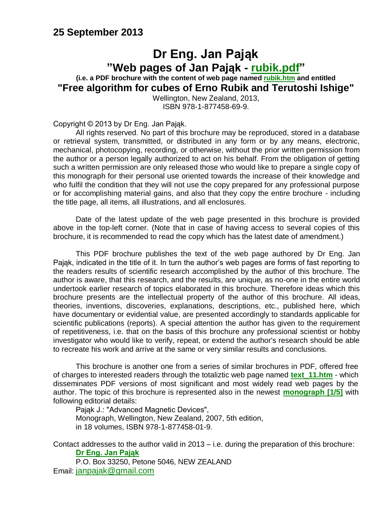### **25 September 2013**

### **Dr Eng. Jan Pająk "Web pages of Jan Pająk - [rubik.pdf"](http://totalizm.com.pl/rubik.pdf) (i.e. a PDF brochure with the content of web page named [rubik.htm](http://totalizm.com.pl/rubik.htm) and entitled**

**"Free algorithm for cubes of Erno Rubik and Terutoshi Ishige"**

Wellington, New Zealand, 2013, ISBN 978-1-877458-69-9.

Copyright © 2013 by Dr Eng. Jan Pająk.

All rights reserved. No part of this brochure may be reproduced, stored in a database or retrieval system, transmitted, or distributed in any form or by any means, electronic, mechanical, photocopying, recording, or otherwise, without the prior written permission from the author or a person legally authorized to act on his behalf. From the obligation of getting such a written permission are only released those who would like to prepare a single copy of this monograph for their personal use oriented towards the increase of their knowledge and who fulfil the condition that they will not use the copy prepared for any professional purpose or for accomplishing material gains, and also that they copy the entire brochure - including the title page, all items, all illustrations, and all enclosures.

Date of the latest update of the web page presented in this brochure is provided above in the top-left corner. (Note that in case of having access to several copies of this brochure, it is recommended to read the copy which has the latest date of amendment.)

This PDF brochure publishes the text of the web page authored by Dr Eng. Jan Pająk, indicated in the title of it. In turn the author's web pages are forms of fast reporting to the readers results of scientific research accomplished by the author of this brochure. The author is aware, that this research, and the results, are unique, as no-one in the entire world undertook earlier research of topics elaborated in this brochure. Therefore ideas which this brochure presents are the intellectual property of the author of this brochure. All ideas, theories, inventions, discoveries, explanations, descriptions, etc., published here, which have documentary or evidential value, are presented accordingly to standards applicable for scientific publications (reports). A special attention the author has given to the requirement of repetitiveness, i.e. that on the basis of this brochure any professional scientist or hobby investigator who would like to verify, repeat, or extend the author's research should be able to recreate his work and arrive at the same or very similar results and conclusions.

This brochure is another one from a series of similar brochures in PDF, offered free of charges to interested readers through the totaliztic web page named **[text\\_11.htm](http://totalizm.com.pl/text_11.htm)** - which disseminates PDF versions of most significant and most widely read web pages by the author. The topic of this brochure is represented also in the newest **[monograph \[1/5\]](http://totalizm.com.pl/text_1_5.htm)** with following editorial details:

Pajak J.: "Advanced Magnetic Devices". Monograph, Wellington, New Zealand, 2007, 5th edition, in 18 volumes, ISBN 978-1-877458-01-9.

Contact addresses to the author valid in 2013 – i.e. during the preparation of this brochure: **[Dr Eng. Jan Pająk](http://images.google.co.nz/images?hl=en&q=Jan+Pajak&btnG=Search+Images&gbv=1)**

P.O. Box 33250, Petone 5046, NEW ZEALAND Email: [janpajak@gmail.com](mailto:%20janpajak@gmail.com)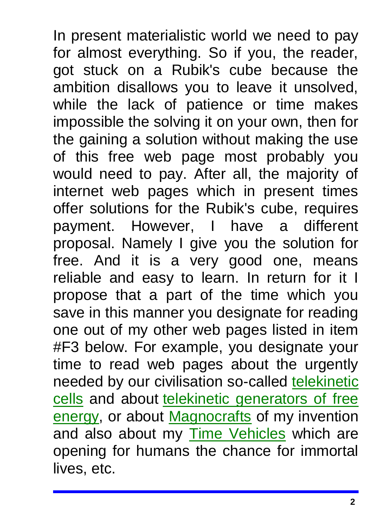In present materialistic world we need to pay for almost everything. So if you, the reader, got stuck on a Rubik's cube because the ambition disallows you to leave it unsolved, while the lack of patience or time makes impossible the solving it on your own, then for the gaining a solution without making the use of this free web page most probably you would need to pay. After all, the majority of internet web pages which in present times offer solutions for the Rubik's cube, requires payment. However, I have a different proposal. Namely I give you the solution for free. And it is a very good one, means reliable and easy to learn. In return for it I propose that a part of the time which you save in this manner you designate for reading one out of my other web pages listed in item #F3 below. For example, you designate your time to read web pages about the urgently needed by our civilisation so-called telekinetic [cells](http://totalizm.com.pl/fe_cell.htm) and about [telekinetic generators of free](http://totalizm.com.pl/free_energy.htm)  [energy,](http://totalizm.com.pl/free_energy.htm) or about [Magnocrafts](http://totalizm.com.pl/magnocraft.htm) of my invention and also about my [Time Vehicles](http://totalizm.com.pl/immortality_pl.htm) which are opening for humans the chance for immortal lives, etc.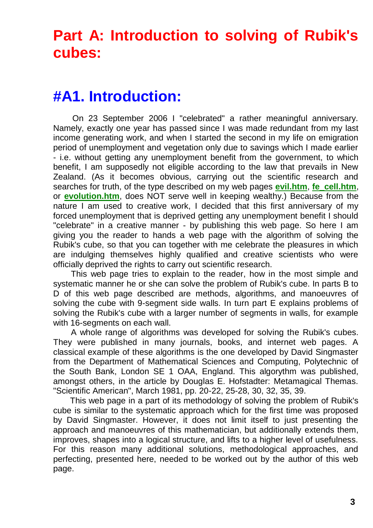# **Part A: Introduction to solving of Rubik's cubes:**

## **#A1. Introduction:**

On 23 September 2006 I "celebrated" a rather meaningful anniversary. Namely, exactly one year has passed since I was made redundant from my last income generating work, and when I started the second in my life on emigration period of unemployment and vegetation only due to savings which I made earlier - i.e. without getting any unemployment benefit from the government, to which benefit, I am supposedly not eligible according to the law that prevails in New Zealand. (As it becomes obvious, carrying out the scientific research and searches for truth, of the type described on my web pages **[evil.htm](http://totalizm.com.pl/evil.htm)**, **[fe\\_cell.htm](http://totalizm.com.pl/fe_cell.htm)**, or **[evolution.htm](http://totalizm.com.pl/evolution.htm)**, does NOT serve well in keeping wealthy.) Because from the nature I am used to creative work, I decided that this first anniversary of my forced unemployment that is deprived getting any unemployment benefit I should "celebrate" in a creative manner - by publishing this web page. So here I am giving you the reader to hands a web page with the algorithm of solving the Rubik's cube, so that you can together with me celebrate the pleasures in which are indulging themselves highly qualified and creative scientists who were officially deprived the rights to carry out scientific research.

This web page tries to explain to the reader, how in the most simple and systematic manner he or she can solve the problem of Rubik's cube. In parts B to D of this web page described are methods, algorithms, and manoeuvres of solving the cube with 9-segment side walls. In turn part E explains problems of solving the Rubik's cube with a larger number of segments in walls, for example with 16-segments on each wall.

A whole range of algorithms was developed for solving the Rubik's cubes. They were published in many journals, books, and internet web pages. A classical example of these algorithms is the one developed by David Singmaster from the Department of Mathematical Sciences and Computing, Polytechnic of the South Bank, London SE 1 OAA, England. This algorythm was published, amongst others, in the article by Douglas E. Hofstadter: Metamagical Themas. "Scientific American", March 1981, pp. 20-22, 25-28, 30, 32, 35, 39.

This web page in a part of its methodology of solving the problem of Rubik's cube is similar to the systematic approach which for the first time was proposed by David Singmaster. However, it does not limit itself to just presenting the approach and manoeuvres of this mathematician, but additionally extends them, improves, shapes into a logical structure, and lifts to a higher level of usefulness. For this reason many additional solutions, methodological approaches, and perfecting, presented here, needed to be worked out by the author of this web page.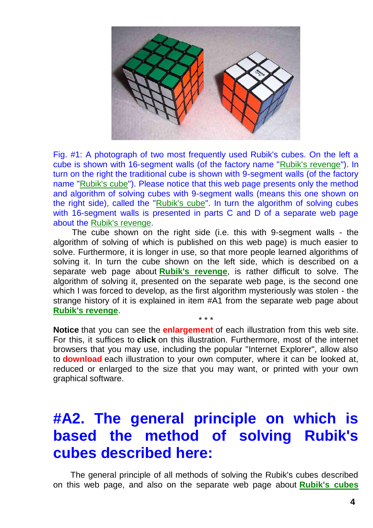

Fig. #1: A photograph of two most frequently used Rubik's cubes. On the left a cube is shown with 16-segment walls (of the factory name ["Rubik's revenge"](http://totalizm.com.pl/rubik_16.htm)). In turn on the right the traditional cube is shown with 9-segment walls (of the factory name ["Rubik's cube"](http://totalizm.com.pl/rubik.htm)). Please notice that this web page presents only the method and algorithm of solving cubes with 9-segment walls (means this one shown on the right side), called the ["Rubik's cube"](http://totalizm.com.pl/rubik.htm). In turn the algorithm of solving cubes with 16-segment walls is presented in parts C and D of a separate web page about the [Rubik's revenge.](http://totalizm.com.pl/rubik_16.htm)

The cube shown on the right side (i.e. this with 9-segment walls - the algorithm of solving of which is published on this web page) is much easier to solve. Furthermore, it is longer in use, so that more people learned algorithms of solving it. In turn the cube shown on the left side, which is described on a separate web page about **[Rubik's revenge](http://totalizm.com.pl/rubik_16.htm)**, is rather difficult to solve. The algorithm of solving it, presented on the separate web page, is the second one which I was forced to develop, as the first algorithm mysteriously was stolen - the strange history of it is explained in item #A1 from the separate web page about **[Rubik's revenge](http://totalizm.com.pl/rubik_16.htm)**.

**Notice** that you can see the **enlargement** of each illustration from this web site. For this, it suffices to **click** on this illustration. Furthermore, most of the internet browsers that you may use, including the popular "Internet Explorer", allow also to **download** each illustration to your own computer, where it can be looked at, reduced or enlarged to the size that you may want, or printed with your own graphical software.

\* \* \*

## **#A2. The general principle on which is based the method of solving Rubik's cubes described here:**

The general principle of all methods of solving the Rubik's cubes described on this web page, and also on the separate web page about **[Rubik's cubes](http://totalizm.com.pl/rubik_16.htm)**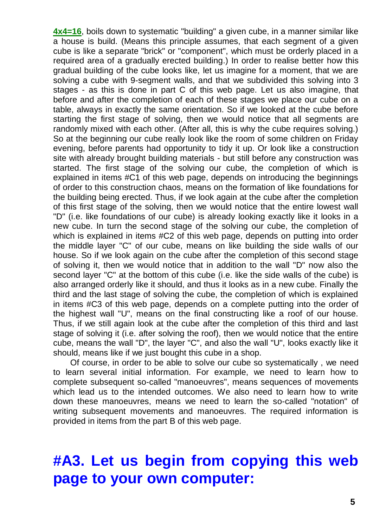**[4x4=16](http://totalizm.com.pl/rubik_16.htm)**, boils down to systematic "building" a given cube, in a manner similar like a house is build. (Means this principle assumes, that each segment of a given cube is like a separate "brick" or "component", which must be orderly placed in a required area of a gradually erected building.) In order to realise better how this gradual building of the cube looks like, let us imagine for a moment, that we are solving a cube with 9-segment walls, and that we subdivided this solving into 3 stages - as this is done in part C of this web page. Let us also imagine, that before and after the completion of each of these stages we place our cube on a table, always in exactly the same orientation. So if we looked at the cube before starting the first stage of solving, then we would notice that all segments are randomly mixed with each other. (After all, this is why the cube requires solving.) So at the beginning our cube really look like the room of some children on Friday evening, before parents had opportunity to tidy it up. Or look like a construction site with already brought building materials - but still before any construction was started. The first stage of the solving our cube, the completion of which is explained in items #C1 of this web page, depends on introducing the beginnings of order to this construction chaos, means on the formation of like foundations for the building being erected. Thus, if we look again at the cube after the completion of this first stage of the solving, then we would notice that the entire lowest wall "D" (i.e. like foundations of our cube) is already looking exactly like it looks in a new cube. In turn the second stage of the solving our cube, the completion of which is explained in items #C2 of this web page, depends on putting into order the middle layer "C" of our cube, means on like building the side walls of our house. So if we look again on the cube after the completion of this second stage of solving it, then we would notice that in addition to the wall "D" now also the second layer "C" at the bottom of this cube (i.e. like the side walls of the cube) is also arranged orderly like it should, and thus it looks as in a new cube. Finally the third and the last stage of solving the cube, the completion of which is explained in items #C3 of this web page, depends on a complete putting into the order of the highest wall "U", means on the final constructing like a roof of our house. Thus, if we still again look at the cube after the completion of this third and last stage of solving it (i.e. after solving the roof), then we would notice that the entire cube, means the wall "D", the layer "C", and also the wall "U", looks exactly like it should, means like if we just bought this cube in a shop.

Of course, in order to be able to solve our cube so systematically , we need to learn several initial information. For example, we need to learn how to complete subsequent so-called "manoeuvres", means sequences of movements which lead us to the intended outcomes. We also need to learn how to write down these manoeuvres, means we need to learn the so-called "notation" of writing subsequent movements and manoeuvres. The required information is provided in items from the part B of this web page.

## **#A3. Let us begin from copying this web page to your own computer:**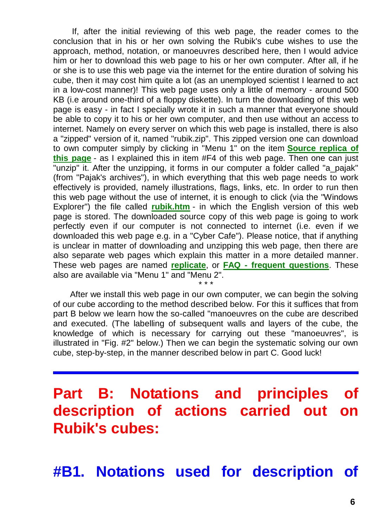If, after the initial reviewing of this web page, the reader comes to the conclusion that in his or her own solving the Rubik's cube wishes to use the approach, method, notation, or manoeuvres described here, then I would advice him or her to download this web page to his or her own computer. After all, if he or she is to use this web page via the internet for the entire duration of solving his cube, then it may cost him quite a lot (as an unemployed scientist I learned to act in a low-cost manner)! This web page uses only a little of memory - around 500 KB (i.e around one-third of a floppy diskette). In turn the downloading of this web page is easy - in fact I specially wrote it in such a manner that everyone should be able to copy it to his or her own computer, and then use without an access to internet. Namely on every server on which this web page is installed, there is also a "zipped" version of it, named "rubik.zip". This zipped version one can download to own computer simply by clicking in "Menu 1" on the item **[Source replica of](http://totalizm.com.pl/rubik.zip)  [this page](http://totalizm.com.pl/rubik.zip)** - as I explained this in item #F4 of this web page. Then one can just "unzip" it. After the unzipping, it forms in our computer a folder called "a\_pajak" (from "Pajak's archives"), in which everything that this web page needs to work effectively is provided, namely illustrations, flags, links, etc. In order to run then this web page without the use of internet, it is enough to click (via the "Windows Explorer") the file called **[rubik.htm](http://totalizm.com.pl/rubik.htm)** - in which the English version of this web page is stored. The downloaded source copy of this web page is going to work perfectly even if our computer is not connected to internet (i.e. even if we downloaded this web page e.g. in a "Cyber Cafe"). Please notice, that if anything is unclear in matter of downloading and unzipping this web page, then there are also separate web pages which explain this matter in a more detailed manner. These web pages are named **[replicate](http://totalizm.com.pl/replicate.htm)**, or **FAQ - [frequent questions](http://totalizm.com.pl/faq.htm)**. These also are available via "Menu 1" and "Menu 2".

After we install this web page in our own computer, we can begin the solving of our cube according to the method described below. For this it suffices that from part B below we learn how the so-called "manoeuvres on the cube are described and executed. (The labelling of subsequent walls and layers of the cube, the knowledge of which is necessary for carrying out these "manoeuvres", is illustrated in "Fig. #2" below.) Then we can begin the systematic solving our own cube, step-by-step, in the manner described below in part C. Good luck!

\* \* \*

# **Part B: Notations and principles description of actions carried out Rubik's cubes:**

**#B1. Notations used for description of**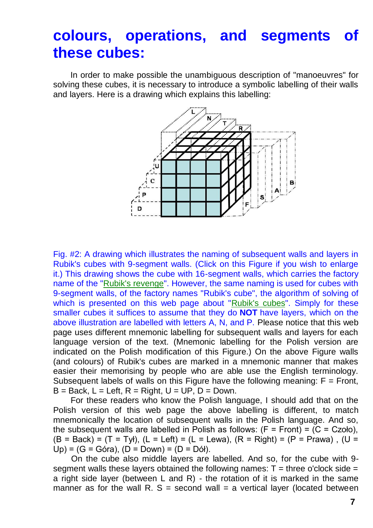### **colours, operations, and segments of these cubes:**

In order to make possible the unambiguous description of "manoeuvres" for solving these cubes, it is necessary to introduce a symbolic labelling of their walls and layers. Here is a drawing which explains this labelling:



Fig. #2: A drawing which illustrates the naming of subsequent walls and layers in Rubik's cubes with 9-segment walls. (Click on this Figure if you wish to enlarge it.) This drawing shows the cube with 16-segment walls, which carries the factory name of the ["Rubik's revenge"](http://totalizm.com.pl/rubik_16.htm). However, the same naming is used for cubes with 9-segment walls, of the factory names "Rubik's cube", the algorithm of solving of which is presented on this web page about ["Rubik's cubes"](http://totalizm.com.pl/rubik.htm). Simply for these smaller cubes it suffices to assume that they do **NOT** have layers, which on the above illustration are labelled with letters A, N, and P. Please notice that this web page uses different mnemonic labelling for subsequent walls and layers for each language version of the text. (Mnemonic labelling for the Polish version are indicated on the Polish modification of this Figure.) On the above Figure walls (and colours) of Rubik's cubes are marked in a mnemonic manner that makes easier their memorising by people who are able use the English terminology. Subsequent labels of walls on this Figure have the following meaning:  $F =$  Front,  $B = Back$ ,  $L = Left$ ,  $R = Right$ ,  $U = UP$ ,  $D = Down$ .

For these readers who know the Polish language, I should add that on the Polish version of this web page the above labelling is different, to match mnemonically the location of subsequent walls in the Polish language. And so, the subsequent walls are labelled in Polish as follows:  $(F = Front) = (C = Czoło)$ .  $(B = Back) = (T = Ty)$ ,  $(L = Left) = (L = Lewa)$ ,  $(R = Right) = (P = Prawa)$ ,  $(U =$ Up) =  $(G = Góra)$ ,  $(D = Down) = (D = Dóf)$ .

On the cube also middle layers are labelled. And so, for the cube with 9 segment walls these layers obtained the following names:  $T =$  three o'clock side = a right side layer (between L and R) - the rotation of it is marked in the same manner as for the wall R.  $S =$  second wall  $=$  a vertical layer (located between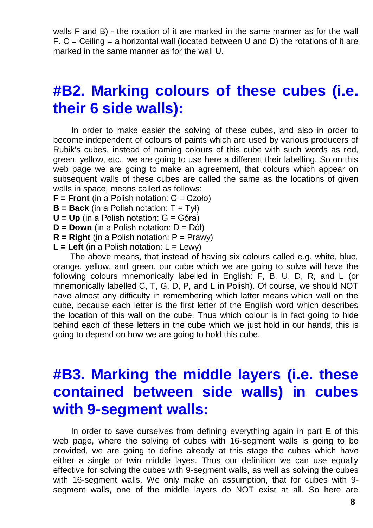walls F and B) - the rotation of it are marked in the same manner as for the wall  $F. C = Ceiling = a horizontal wall (located between U and D) the rotations of it are$ marked in the same manner as for the wall U.

### **#B2. Marking colours of these cubes (i.e. their 6 side walls):**

In order to make easier the solving of these cubes, and also in order to become independent of colours of paints which are used by various producers of Rubik's cubes, instead of naming colours of this cube with such words as red, green, yellow, etc., we are going to use here a different their labelling. So on this web page we are going to make an agreement, that colours which appear on subsequent walls of these cubes are called the same as the locations of given walls in space, means called as follows:

- **F = Front** (in a Polish notation: C = Czoło)
- **B = Back** (in a Polish notation: T = Tył)
- **U = Up** (in a Polish notation: G = Góra)
- **D = Down** (in a Polish notation: D = Dół)
- $R = Right$  (in a Polish notation:  $P = Prawy$ )
- $L = Lett$  (in a Polish notation:  $L = Lewy$ )

The above means, that instead of having six colours called e.g. white, blue, orange, yellow, and green, our cube which we are going to solve will have the following colours mnemonically labelled in English: F, B, U, D, R, and L (or mnemonically labelled C, T, G, D, P, and L in Polish). Of course, we should NOT have almost any difficulty in remembering which latter means which wall on the cube, because each letter is the first letter of the English word which describes the location of this wall on the cube. Thus which colour is in fact going to hide behind each of these letters in the cube which we just hold in our hands, this is going to depend on how we are going to hold this cube.

### **#B3. Marking the middle layers (i.e. these contained between side walls) in cubes with 9-segment walls:**

In order to save ourselves from defining everything again in part E of this web page, where the solving of cubes with 16-segment walls is going to be provided, we are going to define already at this stage the cubes which have either a single or twin middle layes. Thus our definition we can use equally effective for solving the cubes with 9-segment walls, as well as solving the cubes with 16-segment walls. We only make an assumption, that for cubes with 9 segment walls, one of the middle layers do NOT exist at all. So here are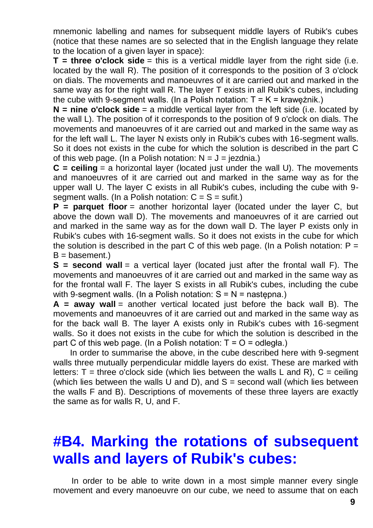mnemonic labelling and names for subsequent middle layers of Rubik's cubes (notice that these names are so selected that in the English language they relate to the location of a given layer in space):

**T** = three o'clock side = this is a vertical middle layer from the right side (i.e. located by the wall R). The position of it corresponds to the position of 3 o'clock on dials. The movements and manoeuvres of it are carried out and marked in the same way as for the right wall R. The layer T exists in all Rubik's cubes, including the cube with 9-segment walls. (In a Polish notation:  $T = K = k$ rawężnik.)

**N = nine o'clock side** = a middle vertical layer from the left side (i.e. located by the wall L). The position of it corresponds to the position of 9 o'clock on dials. The movements and manoeuvres of it are carried out and marked in the same way as for the left wall L. The layer N exists only in Rubik's cubes with 16-segment walls. So it does not exists in the cube for which the solution is described in the part C of this web page. (In a Polish notation:  $N = J = i$ ezdnia.)

**C = ceiling** = a horizontal layer (located just under the wall U). The movements and manoeuvres of it are carried out and marked in the same way as for the upper wall U. The layer C exists in all Rubik's cubes, including the cube with 9 segment walls. (In a Polish notation:  $C = S = \text{suffix}$ .)

**P = parquet floor** = another horizontal layer (located under the layer C, but above the down wall D). The movements and manoeuvres of it are carried out and marked in the same way as for the down wall D. The layer P exists only in Rubik's cubes with 16-segment walls. So it does not exists in the cube for which the solution is described in the part C of this web page. (In a Polish notation:  $P =$  $B =$  basement.)

**S** = second wall = a vertical laver (located just after the frontal wall F). The movements and manoeuvres of it are carried out and marked in the same way as for the frontal wall F. The layer S exists in all Rubik's cubes, including the cube with 9-segment walls. (In a Polish notation:  $S = N =$  nastepna.)

**A = away wall** = another vertical located just before the back wall B). The movements and manoeuvres of it are carried out and marked in the same way as for the back wall B. The layer A exists only in Rubik's cubes with 16-segment walls. So it does not exists in the cube for which the solution is described in the part C of this web page. (In a Polish notation:  $T = O = odleg 4a$ .)

In order to summarise the above, in the cube described here with 9-segment walls three mutually perpendicular middle layers do exist. These are marked with letters:  $T =$  three o'clock side (which lies between the walls L and R),  $C =$  ceiling (which lies between the walls U and D), and  $S =$  second wall (which lies between the walls F and B). Descriptions of movements of these three layers are exactly the same as for walls R, U, and F.

# **#B4. Marking the rotations of subsequent walls and layers of Rubik's cubes:**

In order to be able to write down in a most simple manner every single movement and every manoeuvre on our cube, we need to assume that on each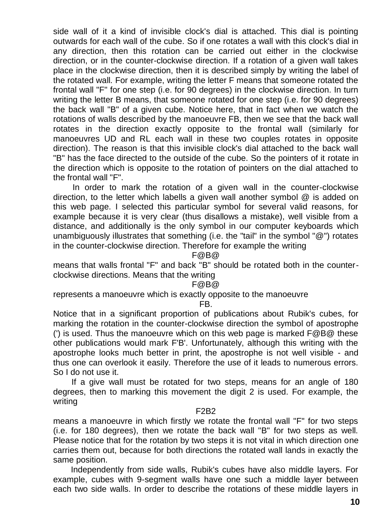side wall of it a kind of invisible clock's dial is attached. This dial is pointing outwards for each wall of the cube. So if one rotates a wall with this clock's dial in any direction, then this rotation can be carried out either in the clockwise direction, or in the counter-clockwise direction. If a rotation of a given wall takes place in the clockwise direction, then it is described simply by writing the label of the rotated wall. For example, writing the letter F means that someone rotated the frontal wall "F" for one step (i.e. for 90 degrees) in the clockwise direction. In turn writing the letter B means, that someone rotated for one step (i.e. for 90 degrees) the back wall "B" of a given cube. Notice here, that in fact when we watch the rotations of walls described by the manoeuvre FB, then we see that the back wall rotates in the direction exactly opposite to the frontal wall (similarly for manoeuvres UD and RL each wall in these two couples rotates in opposite direction). The reason is that this invisible clock's dial attached to the back wall "B" has the face directed to the outside of the cube. So the pointers of it rotate in the direction which is opposite to the rotation of pointers on the dial attached to the frontal wall "F".

In order to mark the rotation of a given wall in the counter-clockwise direction, to the letter which labells a given wall another symbol @ is added on this web page. I selected this particular symbol for several valid reasons, for example because it is very clear (thus disallows a mistake), well visible from a distance, and additionally is the only symbol in our computer keyboards which unambiguously illustrates that something (i.e. the "tail" in the symbol "@") rotates in the counter-clockwise direction. Therefore for example the writing

F@B@

means that walls frontal "F" and back "B" should be rotated both in the counterclockwise directions. Means that the writing

#### F@B@

represents a manoeuvre which is exactly opposite to the manoeuvre

#### FB.

Notice that in a significant proportion of publications about Rubik's cubes, for marking the rotation in the counter-clockwise direction the symbol of apostrophe (') is used. Thus the manoeuvre which on this web page is marked F@B@ these other publications would mark F'B'. Unfortunately, although this writing with the apostrophe looks much better in print, the apostrophe is not well visible - and thus one can overlook it easily. Therefore the use of it leads to numerous errors. So I do not use it.

If a give wall must be rotated for two steps, means for an angle of 180 degrees, then to marking this movement the digit 2 is used. For example, the writing

#### F2B2

means a manoeuvre in which firstly we rotate the frontal wall "F" for two steps (i.e. for 180 degrees), then we rotate the back wall "B" for two steps as well. Please notice that for the rotation by two steps it is not vital in which direction one carries them out, because for both directions the rotated wall lands in exactly the same position.

Independently from side walls, Rubik's cubes have also middle layers. For example, cubes with 9-segment walls have one such a middle layer between each two side walls. In order to describe the rotations of these middle layers in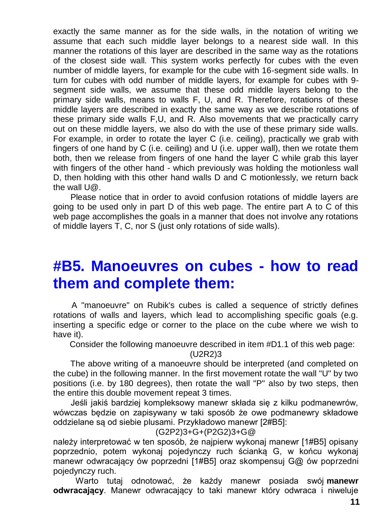exactly the same manner as for the side walls, in the notation of writing we assume that each such middle layer belongs to a nearest side wall. In this manner the rotations of this layer are described in the same way as the rotations of the closest side wall. This system works perfectly for cubes with the even number of middle layers, for example for the cube with 16-segment side walls. In turn for cubes with odd number of middle layers, for example for cubes with 9 segment side walls, we assume that these odd middle layers belong to the primary side walls, means to walls F, U, and R. Therefore, rotations of these middle layers are described in exactly the same way as we describe rotations of these primary side walls F,U, and R. Also movements that we practically carry out on these middle layers, we also do with the use of these primary side walls. For example, in order to rotate the layer C (i.e. ceiling), practically we grab with fingers of one hand by C (i.e. ceiling) and U (i.e. upper wall), then we rotate them both, then we release from fingers of one hand the layer C while grab this layer with fingers of the other hand - which previously was holding the motionless wall D, then holding with this other hand walls D and C motionlessly, we return back the wall U@.

Please notice that in order to avoid confusion rotations of middle layers are going to be used only in part D of this web page. The entire part A to C of this web page accomplishes the goals in a manner that does not involve any rotations of middle layers T, C, nor S (just only rotations of side walls).

### **#B5. Manoeuvres on cubes - how to read them and complete them:**

A "manoeuvre" on Rubik's cubes is called a sequence of strictly defines rotations of walls and layers, which lead to accomplishing specific goals (e.g. inserting a specific edge or corner to the place on the cube where we wish to have it).

Consider the following manoeuvre described in item #D1.1 of this web page:

(U2R2)3

The above writing of a manoeuvre should be interpreted (and completed on the cube) in the following manner. In the first movement rotate the wall "U" by two positions (i.e. by 180 degrees), then rotate the wall "P" also by two steps, then the entire this double movement repeat 3 times.

Jeśli jakiś bardziej kompleksowy manewr składa się z kilku podmanewrów, wówczas będzie on zapisywany w taki sposób że owe podmanewry składowe oddzielane są od siebie plusami. Przykładowo manewr [2#B5]:

(G2P2)3+G+(P2G2)3+G@

należy interpretować w ten sposób, że najpierw wykonaj manewr [1#B5] opisany poprzednio, potem wykonaj pojedynczy ruch ścianką G, w końcu wykonaj manewr odwracający ów poprzedni [1#B5] oraz skompensuj G@ ów poprzedni pojedynczy ruch.

Warto tutaj odnotować, że każdy manewr posiada swój **manewr odwracający**. Manewr odwracający to taki manewr który odwraca i niweluje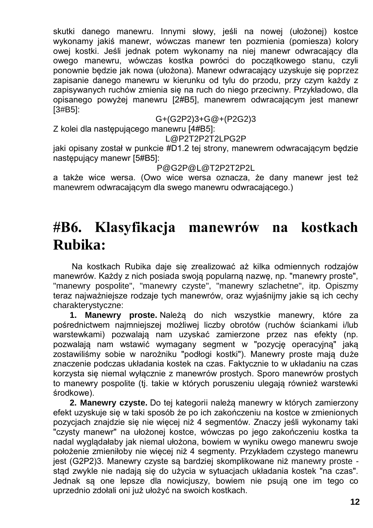skutki danego manewru. Innymi słowy, jeśli na nowej (ułożonej) kostce wykonamy jakiś manewr, wówczas manewr ten pozmienia (pomiesza) kolory owej kostki. Jeśli jednak potem wykonamy na niej manewr odwracający dla owego manewru, wówczas kostka powróci do początkowego stanu, czyli ponownie będzie jak nowa (ułożona). Manewr odwracający uzyskuje się poprzez zapisanie danego manewru w kierunku od tylu do przodu, przy czym każdy z zapisywanych ruchów zmienia się na ruch do niego przeciwny. Przykładowo, dla opisanego powyżej manewru [2#B5], manewrem odwracającym jest manewr [3#B5]:

G+(G2P2)3+G@+(P2G2)3

Z kolei dla następującego manewru [4#B5]:

L@P2T2P2T2LPG2P

jaki opisany został w punkcie #D1.2 tej strony, manewrem odwracającym będzie następujący manewr [5#B5]:

P@G2P@L@T2P2T2P2L

a także wice wersa. (Owo wice wersa oznacza, że dany manewr jest też manewrem odwracającym dla swego manewru odwracającego.)

### **#B6. Klasyfikacja manewrów na kostkach Rubika:**

Na kostkach Rubika daje się zrealizować aż kilka odmiennych rodzajów manewrów. Każdy z nich posiada swoją popularną nazwę, np. "manewry proste", "manewry pospolite", "manewry czyste", "manewry szlachetne", itp. Opiszmy teraz najważniejsze rodzaje tych manewrów, oraz wyjaśnijmy jakie są ich cechy charakterystyczne:

**1. Manewry proste.** Należą do nich wszystkie manewry, które za pośrednictwem najmniejszej możliwej liczby obrotów (ruchów ściankami i/lub warstewkami) pozwalają nam uzyskać zamierzone przez nas efekty (np. pozwalają nam wstawić wymagany segment w "pozycję operacyjną" jaką zostawiliśmy sobie w narożniku "podłogi kostki"). Manewry proste mają duże znaczenie podczas układania kostek na czas. Faktycznie to w układaniu na czas korzysta się niemal wyłącznie z manewrów prostych. Sporo manewrów prostych to manewry pospolite (tj. takie w których poruszeniu ulegają również warstewki środkowe).

**2. Manewry czyste.** Do tej kategorii należą manewry w których zamierzony efekt uzyskuje się w taki sposób że po ich zakończeniu na kostce w zmienionych pozycjach znajdzie się nie więcej niż 4 segmentów. Znaczy jeśli wykonamy taki "czysty manewr" na ułożonej kostce, wówczas po jego zakończeniu kostka ta nadal wyglądałaby jak niemal ułożona, bowiem w wyniku owego manewru swoje położenie zmieniłoby nie więcej niż 4 segmenty. Przykładem czystego manewru jest (G2P2)3. Manewry czyste są bardziej skomplikowane niż manewry proste stąd zwykle nie nadają się do użycia w sytuacjach układania kostek "na czas". Jednak są one lepsze dla nowicjuszy, bowiem nie psują one im tego co uprzednio zdołali oni już ułożyć na swoich kostkach.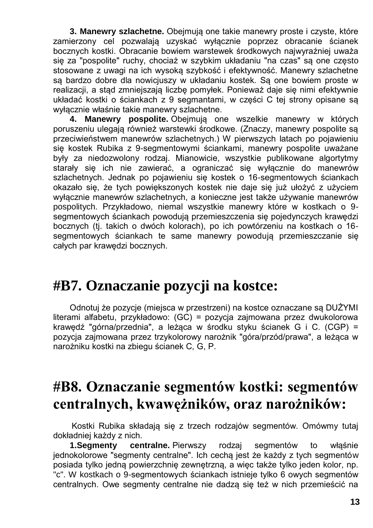**3. Manewry szlachetne.** Obejmują one takie manewry proste i czyste, które zamierzony cel pozwalają uzyskać wyłącznie poprzez obracanie ścianek bocznych kostki. Obracanie bowiem warstewek środkowych najwyraźniej uważa się za "pospolite" ruchy, chociaż w szybkim układaniu "na czas" są one często stosowane z uwagi na ich wysoką szybkość i efektywność. Manewry szlachetne są bardzo dobre dla nowicjuszy w układaniu kostek. Są one bowiem proste w realizacji, a stąd zmniejszają liczbę pomyłek. Ponieważ daje się nimi efektywnie układać kostki o ściankach z 9 segmantami, w części C tej strony opisane są wyłącznie właśnie takie manewry szlachetne.

**4. Manewry pospolite.** Obejmują one wszelkie manewry w których poruszeniu ulegają również warstewki środkowe. (Znaczy, manewry pospolite są przeciwieństwem manewrów szlachetnych.) W pierwszych latach po pojawieniu się kostek Rubika z 9-segmentowymi ściankami, manewry pospolite uważane były za niedozwolony rodzaj. Mianowicie, wszystkie publikowane algortytmy starały się ich nie zawierać, a ograniczać się wyłącznie do manewrów szlachetnych. Jednak po pojawieniu się kostek o 16-segmentowych ściankach okazało się, że tych powiększonych kostek nie daje się już ułożyć z użyciem wyłącznie manewrów szlachetnych, a konieczne jest także używanie manewrów pospolitych. Przykładowo, niemal wszystkie manewry które w kostkach o 9 segmentowych ściankach powodują przemieszczenia się pojedynczych krawędzi bocznych (tj. takich o dwóch kolorach), po ich powtórzeniu na kostkach o 16 segmentowych ściankach te same manewry powodują przemieszczanie się całych par krawędzi bocznych.

## **#B7. Oznaczanie pozycji na kostce:**

Odnotuj że pozycje (miejsca w przestrzeni) na kostce oznaczane są DUŻYMI literami alfabetu, przykładowo: (GC) = pozycja zajmowana przez dwukolorowa krawędź "górna/przednia", a leżąca w środku styku ścianek G i C. (CGP) = pozycja zajmowana przez trzykolorowy narożnik "góra/przód/prawa", a leżąca w narożniku kostki na zbiegu ścianek C, G, P.

## **#B8. Oznaczanie segmentów kostki: segmentów centralnych, kwawężników, oraz narożników:**

Kostki Rubika składają się z trzech rodzajów segmentów. Omówmy tutaj dokładniej każdy z nich.

**1.Segmenty centralne.** Pierwszy rodzaj segmentów to włąśnie jednokolorowe "segmenty centralne". Ich cechą jest że każdy z tych segmentów posiada tylko jedną powierzchnię zewnętrzną, a więc także tylko jeden kolor, np. "c". W kostkach o 9-segmentowych ściankach istnieje tylko 6 owych segmentów centralnych. Owe segmenty centralne nie dadzą się też w nich przemieścić na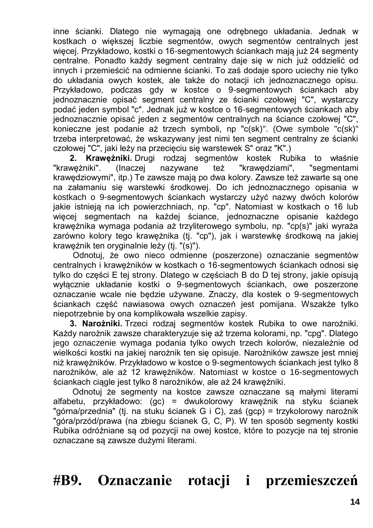inne ścianki. Dlatego nie wymagają one odrębnego układania. Jednak w kostkach o większej liczbie segmentów, owych segmentów centralnych jest więcej. Przykładowo, kostki o 16-segmentowych ściankach mają już 24 segmenty centralne. Ponadto każdy segment centralny daje się w nich już oddzielić od innych i przemieścić na odmienne ścianki. To zaś dodaje sporo uciechy nie tylko do układania owych kostek, ale także do notacji ich jednoznacznego opisu. Przykładowo, podczas gdy w kostce o 9-segmentowych ściankach aby jednoznacznie opisać segment centralny ze ścianki czołowej "C", wystarczy podać jeden symbol "c". Jednak już w kostce o 16-segmentowych ściankach aby jednoznacznie opisać jeden z segmentów centralnych na ściance czołowej "C", konieczne jest podanie aż trzech symboli, np "c(sk)". (Owe symbole "c(sk)" trzeba interpretować, że wskazywany jest nimi ten segment centralny ze ścianki czołowej "C", jaki leży na przecięciu się warstewek S" oraz "K".)

**2. Krawężniki.** Drugi rodzaj segmentów kostek Rubika to właśnie "krawężniki". (Inaczej nazywane też "krawędziami", "segmentami krawędziowymi", itp.) Te zawsze mają po dwa kolory. Zawsze też zawarte są one na załamaniu się warstewki środkowej. Do ich jednoznacznego opisania w kostkach o 9-segmentowych ściankach wystarczy użyć nazwy dwóch kolorów jakie istnieją na ich powierzchniach, np. "cp". Natomiast w kostkach o 16 lub więcej segmentach na każdej ściance, jednoznaczne opisanie każdego krawężnika wymaga podania aż trzyliterowego symbolu, np. "cp(s)" jaki wyraża zarówno kolory tego krawężnika (tj. "cp"), jak i warstewkę środkową na jakiej krawężnik ten oryginalnie leży (tj. "(s)").

Odnotuj, że owo nieco odmienne (poszerzone) oznaczanie segmentów centralnych i krawężników w kostkach o 16-segmentowych ściankach odnosi się tylko do części E tej strony. Dlatego w częściach B do D tej strony, jakie opisują wyłącznie układanie kostki o 9-segmentowych ściankach, owe poszerzone oznaczanie wcale nie będzie używane. Znaczy, dla kostek o 9-segmentowych ściankach część nawiasowa owych oznaczeń jest pomijana. Wszakże tylko niepotrzebnie by ona komplikowała wszelkie zapisy.

**3. Narożniki.** Trzeci rodzaj segmentów kostek Rubika to owe narożniki. Każdy narożnik zawsze charakteryzuje się aż trzema kolorami, np. "cpg". Dlatego jego oznaczenie wymaga podania tylko owych trzech kolorów, niezależnie od wielkości kostki na jakiej narożnik ten się opisuje. Narożników zawsze jest mniej niż krawężników. Przykładowo w kostce o 9-segmentowych ściankach jest tylko 8 narożników, ale aż 12 krawężników. Natomiast w kostce o 16-segmentowych ściankach ciągle jest tylko 8 narożników, ale aż 24 krawężniki.

Odnotuj że segmenty na kostce zawsze oznaczane są małymi literami alfabetu, przykładowo: (gc) = dwukolorowy krawężnik na styku ścianek "górna/przednia" (tj. na stuku ścianek G i C), zaś (gcp) = trzykolorowy narożnik "góra/przód/prawa (na zbiegu ścianek G, C, P). W ten sposób segmenty kostki Rubika odróżniane są od pozycji na owej kostce, które to pozycje na tej stronie oznaczane są zawsze dużymi literami.

**#B9. Oznaczanie rotacji i przemieszczeń**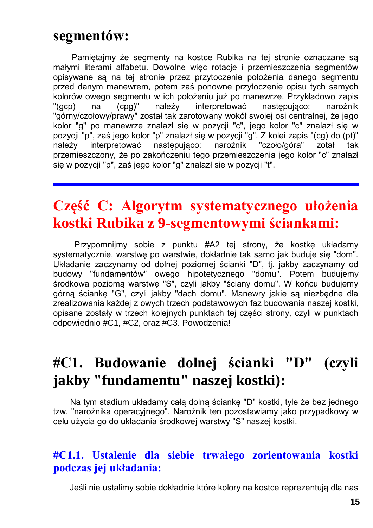### **segmentów:**

Pamiętajmy że segmenty na kostce Rubika na tej stronie oznaczane są małymi literami alfabetu. Dowolne więc rotacje i przemieszczenia segmentów opisywane są na tej stronie przez przytoczenie położenia danego segmentu przed danym manewrem, potem zaś ponowne przytoczenie opisu tych samych kolorów owego segmentu w ich położeniu już po manewrze. Przykładowo zapis "(gcp) na (cpg)" należy interpretować następująco: narożnik "górny/czołowy/prawy" został tak zarotowany wokół swojej osi centralnej, że jego kolor "g" po manewrze znalazł się w pozycji "c", jego kolor "c" znalazł się w pozycji "p", zaś jego kolor "p" znalazł się w pozycji "g". Z kolei zapis "(cg) do (pt)" należy interpretować następująco: narożnik "czoło/góra" zotał tak przemieszczony, że po zakończeniu tego przemieszczenia jego kolor "c" znalazł się w pozycji "p", zaś jego kolor "g" znalazł się w pozycji "t".

## **Część C: Algorytm systematycznego ułożenia kostki Rubika z 9-segmentowymi ściankami:**

Przypomnijmy sobie z punktu #A2 tej strony, że kostkę układamy systematycznie, warstwę po warstwie, dokładnie tak samo jak buduje się "dom". Układanie zaczynamy od dolnej poziomej ścianki "D", tj. jakby zaczynamy od budowy "fundamentów" owego hipotetycznego "domu". Potem budujemy środkową poziomą warstwę "S", czyli jakby "ściany domu". W końcu budujemy górną ściankę "G", czyli jakby "dach domu". Manewry jakie są niezbędne dla zrealizowania każdej z owych trzech podstawowych faz budowania naszej kostki, opisane zostały w trzech kolejnych punktach tej części strony, czyli w punktach odpowiednio #C1, #C2, oraz #C3. Powodzenia!

# **#C1. Budowanie dolnej ścianki "D" (czyli jakby "fundamentu" naszej kostki):**

Na tym stadium układamy całą dolną ściankę "D" kostki, tyle że bez jednego tzw. "narożnika operacyjnego". Narożnik ten pozostawiamy jako przypadkowy w celu użycia go do układania środkowej warstwy "S" naszej kostki.

### **#C1.1. Ustalenie dla siebie trwałego zorientowania kostki podczas jej układania:**

Jeśli nie ustalimy sobie dokładnie które kolory na kostce reprezentują dla nas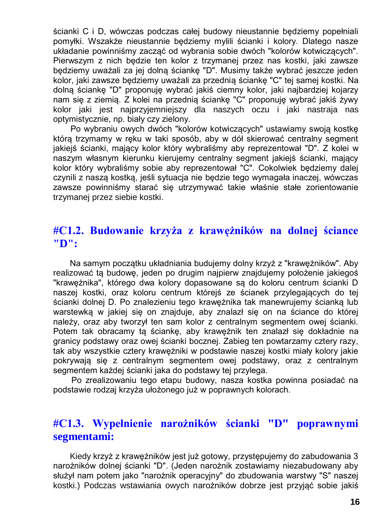ścianki C i D, wówczas podczas całej budowy nieustannie będziemy popełniali pomyłki. Wszakże nieustannie będziemy mylili ścianki i kolory. Dlatego nasze układanie powinniśmy zacząć od wybrania sobie dwóch "kolorów kotwiczących". Pierwszym z nich będzie ten kolor z trzymanej przez nas kostki, jaki zawsze będziemy uważali za jej dolną ściankę "D". Musimy także wybrać jeszcze jeden kolor, jaki zawsze będziemy uważali za przednią ściankę "C" tej samej kostki. Na dolną ściankę "D" proponuję wybrać jakiś ciemny kolor, jaki najbardziej kojarzy nam się z ziemią. Z kolei na przednią ściankę "C" proponuję wybrać jakiś żywy kolor jaki jest najprzyjemniejszy dla naszych oczu i jaki nastraja nas optymistycznie, np. biały czy zielony.

Po wybraniu owych dwóch "kolorów kotwiczących" ustawiamy swoją kostkę którą trzymamy w ręku w taki sposób, aby w dół skierować centralny segment jakiejś ścianki, mający kolor który wybraliśmy aby reprezentował "D". Z kolei w naszym własnym kierunku kierujemy centralny segment jakiejś ścianki, mający kolor który wybraliśmy sobie aby reprezentował "C". Cokolwiek będziemy dalej czynili z naszą kostką, jeśli sytuacja nie będzie tego wymagała inaczej, wówczas zawsze powinniśmy starać się utrzymywać takie właśnie stałe zorientowanie trzymanej przez siebie kostki.

### **#C1.2. Budowanie krzyża z krawężników na dolnej ściance "D":**

Na samym początku układniania budujemy dolny krzyż z "krawężników". Aby realizować tą budowę, jeden po drugim najpierw znajdujemy położenie jakiegoś "krawężnika", którego dwa kolory dopasowane są do koloru centrum ścianki D naszej kostki, oraz koloru centrum którejś ze ścianek przylegających do tej ścianki dolnej D. Po znalezieniu tego krawężnika tak manewrujemy ścianką lub warstewką w jakiej się on znajduje, aby znalazł się on na ściance do której należy, oraz aby tworzył ten sam kolor z centralnym segmentem owej ścianki. Potem tak obracamy tą ściankę, aby krawężnik ten znalazł się dokładnie na granicy podstawy oraz owej ścianki bocznej. Zabieg ten powtarzamy cztery razy, tak aby wszystkie cztery krawężniki w podstawie naszej kostki miały kolory jakie pokrywają się z centralnym segmentem owej podstawy, oraz z centralnym segmentem każdej ścianki jaka do podstawy tej przylega.

Po zrealizowaniu tego etapu budowy, nasza kostka powinna posiadać na podstawie rodzaj krzyża ułożonego już w poprawnych kolorach.

### **#C1.3. Wypełnienie narożników ścianki "D" poprawnymi segmentami:**

Kiedy krzyż z krawężników jest już gotowy, przystępujemy do zabudowania 3 narożników dolnej ścianki "D". (Jeden narożnik zostawiamy niezabudowany aby służył nam potem jako "narożnik operacyjny" do zbudowania warstwy "S" naszej kostki.) Podczas wstawiania owych narożników dobrze jest przyjąć sobie jakiś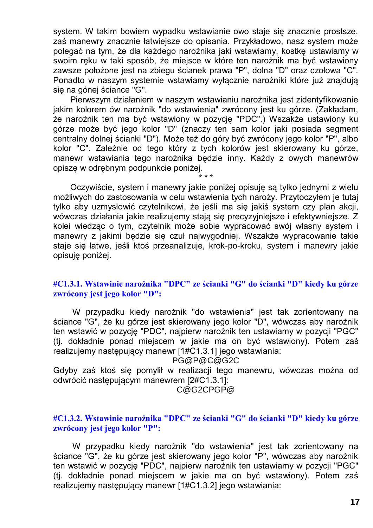system. W takim bowiem wypadku wstawianie owo staje się znacznie prostsze, zaś manewry znacznie łatwiejsze do opisania. Przykładowo, nasz system może polegać na tym, że dla każdego narożnika jaki wstawiamy, kostkę ustawiamy w swoim ręku w taki sposób, że miejsce w które ten narożnik ma być wstawiony zawsze położone jest na zbiegu ścianek prawa "P", dolna "D" oraz czołowa "C". Ponadto w naszym systemie wstawiamy wyłącznie narożniki które już znajdują się na gónej ściance "G".

Pierwszym działaniem w naszym wstawianiu narożnika jest zidentyfikowanie jakim kolorem ów narożnik "do wstawienia" zwrócony jest ku górze. (Zakładam, że narożnik ten ma być wstawiony w pozycję "PDC".) Wszakże ustawiony ku górze może być jego kolor "D" (znaczy ten sam kolor jaki posiada segment centralny dolnej ścianki "D"). Może też do góry być zwrócony jego kolor "P", albo kolor "C". Zależnie od tego który z tych kolorów jest skierowany ku górze, manewr wstawiania tego narożnika będzie inny. Każdy z owych manewrów opiszę w odrębnym podpunkcie poniżej.

\* \* \* Oczywiście, system i manewry jakie poniżej opisuję są tylko jednymi z wielu możliwych do zastosowania w celu wstawienia tych naroży. Przytoczyłem je tutaj tylko aby uzmysłowić czytelnikowi, że jeśli ma się jakiś system czy plan akcji, wówczas działania jakie realizujemy stają się precyzyjniejsze i efektywniejsze. Z kolei wiedząc o tym, czytelnik może sobie wypracować swój własny system i manewry z jakimi będzie się czuł najwygodniej. Wszakże wypracowanie takie staje się łatwe, jeśli ktoś przeanalizuje, krok-po-kroku, system i manewry jakie opisuję poniżej.

#### **#C1.3.1. Wstawinie narożnika "DPC" ze ścianki "G" do ścianki "D" kiedy ku górze zwrócony jest jego kolor "D":**

W przypadku kiedy narożnik "do wstawienia" jest tak zorientowany na ściance "G", że ku górze jest skierowany jego kolor "D", wówczas aby narożnik ten wstawić w pozycję "PDC", najpierw narożnik ten ustawiamy w pozycji "PGC" (tj. dokładnie ponad miejscem w jakie ma on być wstawiony). Potem zaś realizujemy następujący manewr [1#C1.3.1] jego wstawiania:

PG@P@C@G2C

Gdyby zaś ktoś się pomylił w realizacji tego manewru, wówczas można od odwrócić następującym manewrem [2#C1.3.1]:

C@G2CPGP@

#### **#C1.3.2. Wstawinie narożnika "DPC" ze ścianki "G" do ścianki "D" kiedy ku górze zwrócony jest jego kolor "P":**

W przypadku kiedy narożnik "do wstawienia" jest tak zorientowany na ściance "G", że ku górze jest skierowany jego kolor "P", wówczas aby narożnik ten wstawić w pozycję "PDC", najpierw narożnik ten ustawiamy w pozycji "PGC" (tj. dokładnie ponad miejscem w jakie ma on być wstawiony). Potem zaś realizujemy następujący manewr [1#C1.3.2] jego wstawiania: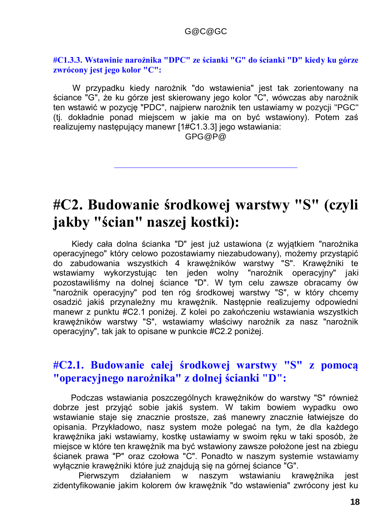#### **#C1.3.3. Wstawinie narożnika "DPC" ze ścianki "G" do ścianki "D" kiedy ku górze zwrócony jest jego kolor "C":**

W przypadku kiedy narożnik "do wstawienia" jest tak zorientowany na ściance "G", że ku górze jest skierowany jego kolor "C", wówczas aby narożnik ten wstawić w pozycję "PDC", najpierw narożnik ten ustawiamy w pozycji "PGC" (tj. dokładnie ponad miejscem w jakie ma on być wstawiony). Potem zaś realizujemy następujący manewr [1#C1.3.3] jego wstawiania:

GPG@P@

## **#C2. Budowanie środkowej warstwy "S" (czyli jakby "ścian" naszej kostki):**

Kiedy cała dolna ścianka "D" jest już ustawiona (z wyjątkiem "narożnika operacyjnego" który celowo pozostawiamy niezabudowany), możemy przystąpić do zabudowania wszystkich 4 krawężników warstwy "S". Krawężniki te wstawiamy wykorzystując ten jeden wolny "narożnik operacyjny" jaki pozostawiliśmy na dolnej ściance "D". W tym celu zawsze obracamy ów "narożnik operacyjny" pod ten róg środkowej warstwy "S", w który chcemy osadzić jakiś przynależny mu krawężnik. Następnie realizujemy odpowiedni manewr z punktu #C2.1 poniżej. Z kolei po zakończeniu wstawiania wszystkich krawężników warstwy "S", wstawiamy właściwy narożnik za nasz "narożnik operacyjny", tak jak to opisane w punkcie #C2.2 poniżej.

### **#C2.1. Budowanie całej środkowej warstwy "S" z pomocą "operacyjnego narożnika" z dolnej ścianki "D":**

Podczas wstawiania poszczególnych krawężników do warstwy "S" również dobrze jest przyjąć sobie jakiś system. W takim bowiem wypadku owo wstawianie staje się znacznie prostsze, zaś manewry znacznie łatwiejsze do opisania. Przykładowo, nasz system może polegać na tym, że dla każdego krawężnika jaki wstawiamy, kostkę ustawiamy w swoim ręku w taki sposób, że miejsce w które ten krawężnik ma być wstawiony zawsze położone jest na zbiegu ścianek prawa "P" oraz czołowa "C". Ponadto w naszym systemie wstawiamy wyłącznie krawężniki które już znajdują się na górnej ściance "G".

Pierwszym działaniem w naszym wstawianiu krawężnika jest zidentyfikowanie jakim kolorem ów krawężnik "do wstawienia" zwrócony jest ku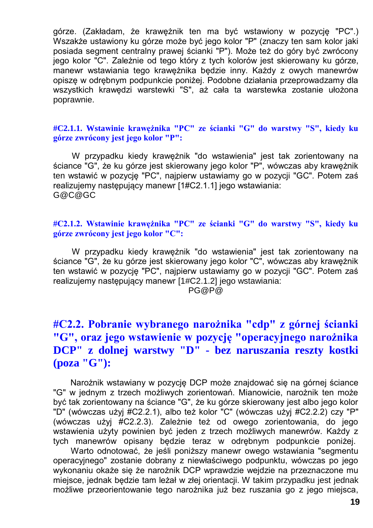górze. (Zakładam, że krawężnik ten ma być wstawiony w pozycję "PC".) Wszakże ustawiony ku górze może być jego kolor "P" (znaczy ten sam kolor jaki posiada segment centralny prawej ścianki "P"). Może też do góry być zwrócony jego kolor "C". Zależnie od tego który z tych kolorów jest skierowany ku górze, manewr wstawiania tego krawężnika będzie inny. Każdy z owych manewrów opiszę w odrębnym podpunkcie poniżej. Podobne działania przeprowadzamy dla wszystkich krawędzi warstewki "S", aż cała ta warstewka zostanie ułożona poprawnie.

#### **#C2.1.1. Wstawinie krawężnika "PC" ze ścianki "G" do warstwy "S", kiedy ku górze zwrócony jest jego kolor "P":**

W przypadku kiedy krawężnik "do wstawienia" jest tak zorientowany na ściance "G", że ku górze jest skierowany jego kolor "P", wówczas aby krawężnik ten wstawić w pozycję "PC", najpierw ustawiamy go w pozycji "GC". Potem zaś realizujemy następujący manewr [1#C2.1.1] jego wstawiania: G@C@GC

#### **#C2.1.2. Wstawinie krawężnika "PC" ze ścianki "G" do warstwy "S", kiedy ku górze zwrócony jest jego kolor "C":**

W przypadku kiedy krawężnik "do wstawienia" jest tak zorientowany na ściance "G", że ku górze jest skierowany jego kolor "C", wówczas aby krawężnik ten wstawić w pozycję "PC", najpierw ustawiamy go w pozycji "GC". Potem zaś realizujemy następujący manewr [1#C2.1.2] jego wstawiania: PG@P@

### **#C2.2. Pobranie wybranego narożnika "cdp" z górnej ścianki "G", oraz jego wstawienie w pozycję "operacyjnego narożnika DCP" z dolnej warstwy "D" - bez naruszania reszty kostki (poza "G"):**

Narożnik wstawiany w pozycję DCP może znajdować się na górnej ściance "G" w jednym z trzech możliwych zorientowań. Mianowicie, narożnik ten może być tak zorientowany na ściance "G", że ku górze skierowany jest albo jego kolor "D" (wówczas użyj #C2.2.1), albo też kolor "C" (wówczas użyj #C2.2.2) czy "P" (wówczas użyj #C2.2.3). Zależnie też od owego zorientowania, do jego wstawienia użyty powinien być jeden z trzech możliwych manewrów. Każdy z tych manewrów opisany będzie teraz w odrębnym podpunkcie poniżej.

Warto odnotować, że jeśli poniższy manewr owego wstawiania "segmentu operacyjnego" zostanie dobrany z niewłaściwego podpunktu, wówczas po jego wykonaniu okaże się że narożnik DCP wprawdzie wejdzie na przeznaczone mu miejsce, jednak będzie tam leżał w złej orientacji. W takim przypadku jest jednak możliwe przeorientowanie tego narożnika już bez ruszania go z jego miejsca,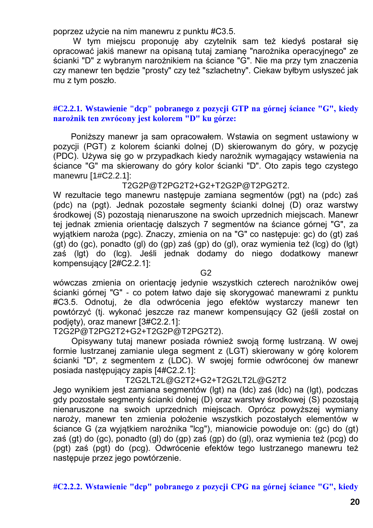poprzez użycie na nim manewru z punktu #C3.5.

W tym miejscu proponuję aby czytelnik sam też kiedyś postarał się opracować jakiś manewr na opisaną tutaj zamianę "narożnika operacyjnego" ze ścianki "D" z wybranym narożnikiem na ściance "G". Nie ma przy tym znaczenia czy manewr ten będzie "prosty" czy też "szlachetny". Ciekaw byłbym usłyszeć jak mu z tym poszło.

#### **#C2.2.1. Wstawienie "dcp" pobranego z pozycji GTP na górnej ściance "G", kiedy narożnik ten zwrócony jest kolorem "D" ku górze:**

Poniższy manewr ja sam opracowałem. Wstawia on segment ustawiony w pozycji (PGT) z kolorem ścianki dolnej (D) skierowanym do góry, w pozycję (PDC). Używa się go w przypadkach kiedy narożnik wymagający wstawienia na ściance "G" ma skierowany do góry kolor ścianki "D". Oto zapis tego czystego manewru [1#C2.2.1]:

T2G2P@T2PG2T2+G2+T2G2P@T2PG2T2.

W rezultacie tego manewru następuje zamiana segmentów (pgt) na (pdc) zaś (pdc) na (pgt). Jednak pozostałe segmenty ścianki dolnej (D) oraz warstwy środkowej (S) pozostają nienaruszone na swoich uprzednich miejscach. Manewr tej jednak zmienia orientację dalszych 7 segmentów na ściance górnej "G", za wyjątkiem naroża (pgc). Znaczy, zmienia on na "G" co następuje: gc) do (gt) zaś (gt) do (gc), ponadto (gl) do (gp) zaś (gp) do (gl), oraz wymienia też (lcg) do (lgt) zaś (lgt) do (lcg). Jeśli jednak dodamy do niego dodatkowy manewr kompensujący [2#C2.2.1]:

 $G<sub>2</sub>$ 

wówczas zmienia on orientację jedynie wszystkich czterech narożników owej ścianki górnej "G" - co potem łatwo daje się skorygować manewrami z punktu #C3.5. Odnotuj, że dla odwrócenia jego efektów wystarczy manewr ten powtórzyć (tj. wykonać jeszcze raz manewr kompensujący G2 (jeśli został on podjęty), oraz manewr [3#C2.2.1]:

T2G2P@T2PG2T2+G2+T2G2P@T2PG2T2).

Opisywany tutaj manewr posiada również swoją formę lustrzaną. W owej formie lustrzanej zamianie ulega segment z (LGT) skierowany w górę kolorem ścianki "D", z segmentem z (LDC). W swojej formie odwróconej ów manewr posiada następujący zapis [4#C2.2.1]:

T2G2LT2L@G2T2+G2+T2G2LT2L@G2T2

Jego wynikiem jest zamiana segmentów (lgt) na (ldc) zaś (ldc) na (lgt), podczas gdy pozostałe segmenty ścianki dolnej (D) oraz warstwy środkowej (S) pozostają nienaruszone na swoich uprzednich miejscach. Oprócz powyższej wymiany naroży, manewr ten zmienia położenie wszystkich pozostałych elementów w ściance G (za wyjątkiem narożnika "lcg"), mianowicie powoduje on: (gc) do (gt) zaś (gt) do (gc), ponadto (gl) do (gp) zaś (gp) do (gl), oraz wymienia też (pcg) do (pgt) zaś (pgt) do (pcg). Odwrócenie efektów tego lustrzanego manewru też następuje przez jego powtórzenie.

**#C2.2.2. Wstawienie "dcp" pobranego z pozycji CPG na górnej ściance "G", kiedy**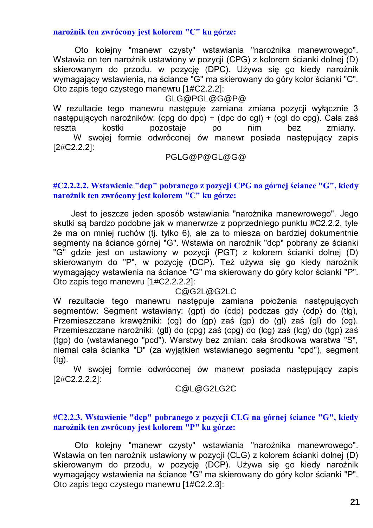**narożnik ten zwrócony jest kolorem "C" ku górze:**

Oto kolejny "manewr czysty" wstawiania "narożnika manewrowego". Wstawia on ten narożnik ustawiony w pozycji (CPG) z kolorem ścianki dolnej (D) skierowanym do przodu, w pozycję (DPC). Używa się go kiedy narożnik wymagający wstawienia, na ściance "G" ma skierowany do góry kolor ścianki "C". Oto zapis tego czystego manewru [1#C2.2.2]:

#### GLG@PGL@G@P@

W rezultacie tego manewru następuje zamiana zmiana pozycji wyłącznie 3 następujących narożników: (cpg do dpc) + (dpc do cgl) + (cgl do cpg). Cała zaś reszta kostki pozostaje po nim bez zmiany. W swojej formie odwróconej ów manewr posiada następujący zapis [2#C2.2.2]:

#### PGLG@P@GL@G@

#### **#C2.2.2.2. Wstawienie "dcp" pobranego z pozycji CPG na górnej ściance "G", kiedy narożnik ten zwrócony jest kolorem "C" ku górze:**

Jest to jeszcze jeden sposób wstawiania "narożnika manewrowego". Jego skutki są bardzo podobne jak w manerwrze z poprzedniego punktu #C2.2.2, tyle że ma on mniej ruchów (tj. tylko 6), ale za to miesza on bardziej dokumentnie segmenty na ściance górnej "G". Wstawia on narożnik "dcp" pobrany ze ścianki "G" gdzie jest on ustawiony w pozycji (PGT) z kolorem ścianki dolnej (D) skierowanym do "P", w pozycję (DCP). Też używa się go kiedy narożnik wymagający wstawienia na ściance "G" ma skierowany do góry kolor ścianki "P". Oto zapis tego manewru [1#C2.2.2.2]:

#### C@G2L@G2LC

W rezultacie tego manewru następuje zamiana położenia następujących segmentów: Segment wstawiany: (gpt) do (cdp) podczas gdy (cdp) do (tlg), Przemieszczane krawężniki: (cg) do (gp) zaś (gp) do (gl) zaś (gl) do (cg). Przemieszczane narożniki: (gtl) do (cpg) zaś (cpg) do (lcg) zaś (lcg) do (tgp) zaś (tgp) do (wstawianego "pcd"). Warstwy bez zmian: cała środkowa warstwa "S", niemal cała ścianka "D" (za wyjątkien wstawianego segmentu "cpd"), segment (tg).

W swojej formie odwróconej ów manewr posiada następujący zapis [2#C2.2.2.2]:

#### C@L@G2LG2C

#### **#C2.2.3. Wstawienie "dcp" pobranego z pozycji CLG na górnej ściance "G", kiedy narożnik ten zwrócony jest kolorem "P" ku górze:**

Oto kolejny "manewr czysty" wstawiania "narożnika manewrowego". Wstawia on ten narożnik ustawiony w pozycji (CLG) z kolorem ścianki dolnej (D) skierowanym do przodu, w pozycję (DCP). Używa się go kiedy narożnik wymagający wstawienia na ściance "G" ma skierowany do góry kolor ścianki "P". Oto zapis tego czystego manewru [1#C2.2.3]: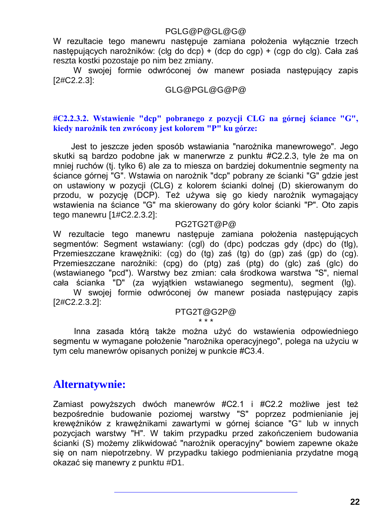#### PGLG@P@GL@G@

W rezultacie tego manewru następuje zamiana położenia wyłącznie trzech następujących narożników: (clg do dcp) + (dcp do cgp) + (cgp do clg). Cała zaś reszta kostki pozostaje po nim bez zmiany.

W swojej formie odwróconej ów manewr posiada następujący zapis [2#C2.2.3]:

#### GLG@PGL@G@P@

#### **#C2.2.3.2. Wstawienie "dcp" pobranego z pozycji CLG na górnej ściance "G", kiedy narożnik ten zwrócony jest kolorem "P" ku górze:**

Jest to jeszcze jeden sposób wstawiania "narożnika manewrowego". Jego skutki są bardzo podobne jak w manerwrze z punktu #C2.2.3, tyle że ma on mniej ruchów (tj. tylko 6) ale za to miesza on bardziej dokumentnie segmenty na ściance górnej "G". Wstawia on narożnik "dcp" pobrany ze ścianki "G" gdzie jest on ustawiony w pozycji (CLG) z kolorem ścianki dolnej (D) skierowanym do przodu, w pozycję (DCP). Też używa się go kiedy narożnik wymagający wstawienia na ściance "G" ma skierowany do góry kolor ścianki "P". Oto zapis tego manewru [1#C2.2.3.2]:

#### PG2TG2T@P@

W rezultacie tego manewru następuje zamiana położenia następujących segmentów: Segment wstawiany: (cgl) do (dpc) podczas gdy (dpc) do (tlg), Przemieszczane krawężniki: (cg) do (tg) zaś (tg) do (gp) zaś (gp) do (cg). Przemieszczane narożniki: (cpg) do (ptg) zaś (ptg) do (glc) zaś (glc) do (wstawianego "pcd"). Warstwy bez zmian: cała środkowa warstwa "S", niemal cała ścianka "D" (za wyjątkien wstawianego segmentu), segment (lg).

W swojej formie odwróconej ów manewr posiada następujący zapis [2#C2.2.3.2]:

#### PTG2T@G2P@ \* \* \*

Inna zasada którą także można użyć do wstawienia odpowiedniego segmentu w wymagane położenie "narożnika operacyjnego", polega na użyciu w tym celu manewrów opisanych poniżej w punkcie #C3.4.

### **Alternatywnie:**

Zamiast powyższych dwóch manewrów #C2.1 i #C2.2 możliwe jest też bezpośrednie budowanie poziomej warstwy "S" poprzez podmienianie jej krewężników z krawężnikami zawartymi w górnej ściance "G" lub w innych pozycjach warstwy "H". W takim przypadku przed zakończeniem budowania ścianki (S) możemy zlikwidować "narożnik operacyjny" bowiem zapewne okaże się on nam niepotrzebny. W przypadku takiego podmieniania przydatne mogą okazać się manewry z punktu #D1.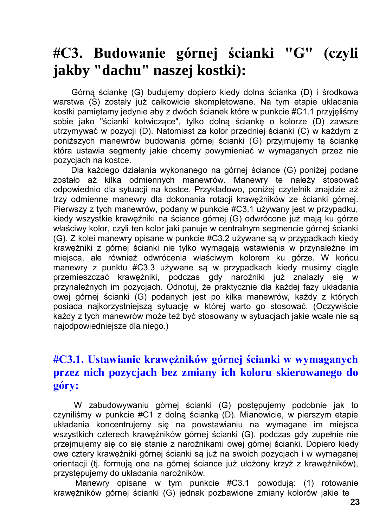## **#C3. Budowanie górnej ścianki "G" (czyli jakby "dachu" naszej kostki):**

Górną ściankę (G) budujemy dopiero kiedy dolna ścianka (D) i środkowa warstwa (S) zostały już całkowicie skompletowane. Na tym etapie układania kostki pamiętamy jedynie aby z dwóch ścianek które w punkcie #C1.1 przyjęliśmy sobie jako "ścianki kotwiczące", tylko dolną ściankę o kolorze (D) zawsze utrzymywać w pozycji (D). Natomiast za kolor przedniej ścianki (C) w każdym z poniższych manewrów budowania górnej ścianki (G) przyjmujemy tą ściankę która ustawia segmenty jakie chcemy powymieniać w wymaganych przez nie pozycjach na kostce.

Dla każdego działania wykonanego na górnej ściance (G) poniżej podane zostało aż kilka odmiennych manewrów. Manewry te należy stosować odpowiednio dla sytuacji na kostce. Przykładowo, poniżej czytelnik znajdzie aż trzy odmienne manewry dla dokonania rotacji krawężników ze ścianki górnej. Pierwszy z tych manewrów, podany w punkcie #C3.1 używany jest w przypadku, kiedy wszystkie krawężniki na ściance górnej (G) odwrócone już mają ku górze właściwy kolor, czyli ten kolor jaki panuje w centralnym segmencie górnej ścianki (G). Z kolei manewry opisane w punkcie #C3.2 używane są w przypadkach kiedy krawężniki z górnej ścianki nie tylko wymagają wstawienia w przynależne im miejsca, ale również odwrócenia właściwym kolorem ku górze. W końcu manewry z punktu #C3.3 używane są w przypadkach kiedy musimy ciągle przemieszczać krawężniki, podczas gdy narożniki już znalazły się w przynależnych im pozycjach. Odnotuj, że praktycznie dla każdej fazy układania owej górnej ścianki (G) podanych jest po kilka manewrów, każdy z których posiada najkorzystniejszą sytuację w której warto go stosować. (Oczywiście każdy z tych manewrów może też być stosowany w sytuacjach jakie wcale nie są najodpowiedniejsze dla niego.)

### **#C3.1. Ustawianie krawężników górnej ścianki w wymaganych przez nich pozycjach bez zmiany ich koloru skierowanego do góry:**

W zabudowywaniu górnej ścianki (G) postępujemy podobnie jak to czyniliśmy w punkcie #C1 z dolną ścianką (D). Mianowicie, w pierszym etapie układania koncentrujemy się na powstawianiu na wymagane im miejsca wszystkich czterech krawężników górnej ścianki (G), podczas gdy zupełnie nie przejmujemy się co się stanie z narożnikami owej górnej ścianki. Dopiero kiedy owe cztery krawężniki górnej ścianki są już na swoich pozycjach i w wymaganej orientacji (tj. formują one na górnej ściance już ułożony krzyż z krawężników), przystępujemy do układania narożników.

Manewry opisane w tym punkcie #C3.1 powodują: (1) rotowanie krawężników górnej ścianki (G) jednak pozbawione zmiany kolorów jakie te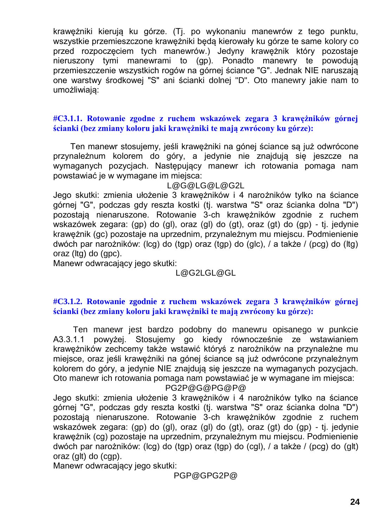krawężniki kierują ku górze. (Tj. po wykonaniu manewrów z tego punktu, wszystkie przemieszczone krawężniki będą kierowały ku górze te same kolory co przed rozpoczęciem tych manewrów.) Jedyny krawężnik który pozostaje nieruszony tymi manewrami to (gp). Ponadto manewry te powodują przemieszczenie wszystkich rogów na górnej ściance "G". Jednak NIE naruszają one warstwy środkowej "S" ani ścianki dolnej "D". Oto manewry jakie nam to umożliwiają:

#### **#C3.1.1. Rotowanie zgodne z ruchem wskazówek zegara 3 krawężników górnej ścianki (bez zmiany koloru jaki krawężniki te mają zwrócony ku górze):**

Ten manewr stosujemy, jeśli krawężniki na gónej ściance są już odwrócone przynależnum kolorem do góry, a jedynie nie znajdują się jeszcze na wymaganych pozycjach. Następujący manewr ich rotowania pomaga nam powstawiać je w wymagane im miejsca:

#### L@G@LG@L@G2L

Jego skutki: zmienia ułożenie 3 krawężników i 4 narożników tylko na ściance górnej "G", podczas gdy reszta kostki (tj. warstwa "S" oraz ścianka dolna "D") pozostają nienaruszone. Rotowanie 3-ch krawężników zgodnie z ruchem wskazówek zegara: (gp) do (gl), oraz (gl) do (gt), oraz (gt) do (gp) - tj. jedynie krawężnik (gc) pozostaje na uprzednim, przynależnym mu miejscu. Podmienienie dwóch par narożników: (lcg) do (tgp) oraz (tgp) do (glc), / a także / (pcg) do (ltg) oraz (ltg) do (gpc).

Manewr odwracający jego skutki:

#### L@G2LGL@GL

#### **#C3.1.2. Rotowanie zgodnie z ruchem wskazówek zegara 3 krawężników górnej ścianki (bez zmiany koloru jaki krawężniki te mają zwrócony ku górze):**

Ten manewr jest bardzo podobny do manewru opisanego w punkcie A3.3.1.1 powyżej. Stosujemy go kiedy równocześnie ze wstawianiem krawężników zechcemy także wstawić któryś z narożników na przynależne mu miejsce, oraz jeśli krawężniki na gónej ściance są już odwrócone przynależnym kolorem do góry, a jedynie NIE znajdują się jeszcze na wymaganych pozycjach. Oto manewr ich rotowania pomaga nam powstawiać je w wymagane im miejsca: PG2P@G@PG@P@

Jego skutki: zmienia ułożenie 3 krawężników i 4 narożników tylko na ściance górnej "G", podczas gdy reszta kostki (tj. warstwa "S" oraz ścianka dolna "D") pozostają nienaruszone. Rotowanie 3-ch krawężników zgodnie z ruchem wskazówek zegara: (gp) do (gl), oraz (gl) do (gt), oraz (gt) do (gp) - tj. jedynie krawężnik (cg) pozostaje na uprzednim, przynależnym mu miejscu. Podmienienie dwóch par narożników: (lcg) do (tgp) oraz (tgp) do (cgl), / a także / (pcg) do (glt) oraz (glt) do (cgp).

Manewr odwracający jego skutki:

PGP@GPG2P@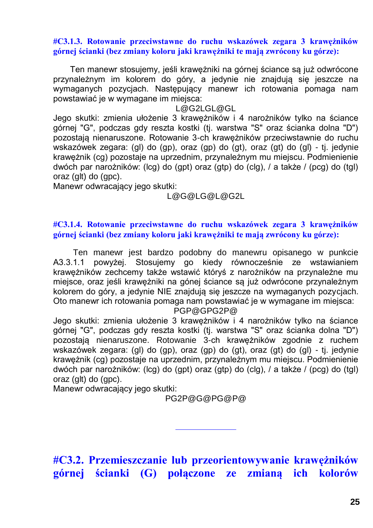#### **#C3.1.3. Rotowanie przeciwstawne do ruchu wskazówek zegara 3 krawężników górnej ścianki (bez zmiany koloru jaki krawężniki te mają zwrócony ku górze):**

Ten manewr stosujemy, jeśli krawężniki na górnej ściance są już odwrócone przynależnym im kolorem do góry, a jedynie nie znajdują się jeszcze na wymaganych pozycjach. Następujący manewr ich rotowania pomaga nam powstawiać je w wymagane im miejsca:

#### L@G2LGL@GL

Jego skutki: zmienia ułożenie 3 krawężników i 4 narożników tylko na ściance górnej "G", podczas gdy reszta kostki (tj. warstwa "S" oraz ścianka dolna "D") pozostają nienaruszone. Rotowanie 3-ch krawężników przeciwstawnie do ruchu wskazówek zegara: (gl) do (gp), oraz (gp) do (gt), oraz (gt) do (gl) - tj. jedynie krawężnik (cg) pozostaje na uprzednim, przynależnym mu miejscu. Podmienienie dwóch par narożników: (lcg) do (gpt) oraz (gtp) do (clg), / a także / (pcg) do (tgl) oraz (glt) do (gpc).

Manewr odwracający jego skutki:

#### L@G@LG@L@G2L

#### **#C3.1.4. Rotowanie przeciwstawne do ruchu wskazówek zegara 3 krawężników górnej ścianki (bez zmiany koloru jaki krawężniki te mają zwrócony ku górze):**

Ten manewr jest bardzo podobny do manewru opisanego w punkcie A3.3.1.1 powyżej. Stosujemy go kiedy równocześnie ze wstawianiem krawężników zechcemy także wstawić któryś z narożników na przynależne mu miejsce, oraz jeśli krawężniki na gónej ściance są już odwrócone przynależnym kolorem do góry, a jedynie NIE znajdują się jeszcze na wymaganych pozycjach. Oto manewr ich rotowania pomaga nam powstawiać je w wymagane im miejsca:

#### PGP@GPG2P@

Jego skutki: zmienia ułożenie 3 krawężników i 4 narożników tylko na ściance górnej "G", podczas gdy reszta kostki (tj. warstwa "S" oraz ścianka dolna "D") pozostają nienaruszone. Rotowanie 3-ch krawężników zgodnie z ruchem wskazówek zegara: (gl) do (gp), oraz (gp) do (gt), oraz (gt) do (gl) - tj. jedynie krawężnik (cg) pozostaje na uprzednim, przynależnym mu miejscu. Podmienienie dwóch par narożników: (lcg) do (gpt) oraz (gtp) do (clg), / a także / (pcg) do (tgl) oraz (glt) do (gpc).

Manewr odwracający jego skutki:

PG2P@G@PG@P@

**#C3.2. Przemieszczanie lub przeorientowywanie krawężników górnej ścianki (G) połączone ze zmianą ich kolorów**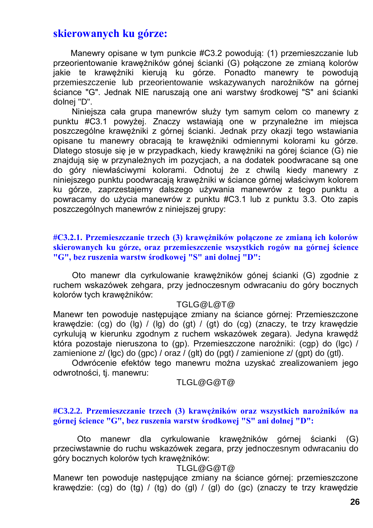### **skierowanych ku górze:**

Manewry opisane w tym punkcie #C3.2 powodują: (1) przemieszczanie lub przeorientowanie krawężników gónej ścianki (G) połączone ze zmianą kolorów jakie te krawężniki kierują ku górze. Ponadto manewry te powodują przemieszczenie lub przeorientowanie wskazywanych narożników na górnej ściance "G". Jednak NIE naruszają one ani warstwy środkowej "S" ani ścianki dolnej "D".

Niniejsza cała grupa manewrów służy tym samym celom co manewry z punktu #C3.1 powyżej. Znaczy wstawiają one w przynależne im miejsca poszczególne krawężniki z górnej ścianki. Jednak przy okazji tego wstawiania opisane tu manewry obracają te krawężniki odmiennymi kolorami ku górze. Dlatego stosuje się je w przypadkach, kiedy krawężniki na górej ściance (G) nie znajdują się w przynależnych im pozycjach, a na dodatek poodwracane są one do góry niewłaściwymi kolorami. Odnotuj że z chwilą kiedy manewry z niniejszego punktu poodwracają krawężniki w ściance górnej właściwym kolorem ku górze, zaprzestajemy dalszego używania manewrów z tego punktu a powracamy do użycia manewrów z punktu #C3.1 lub z punktu 3.3. Oto zapis poszczególnych manewrów z niniejszej grupy:

#### **#C3.2.1. Przemieszczanie trzech (3) krawężników połączone ze zmianą ich kolorów skierowanych ku górze, oraz przemieszczenie wszystkich rogów na górnej ścience "G", bez ruszenia warstw środkowej "S" ani dolnej "D":**

Oto manewr dla cyrkulowanie krawężników gónej ścianki (G) zgodnie z ruchem wskazówek zehgara, przy jednoczesnym odwracaniu do góry bocznych kolorów tych krawężników:

#### TGLG@L@T@

Manewr ten powoduje następujące zmiany na ściance górnej: Przemieszczone krawędzie: (cg) do (lg) / (lg) do (gt) / (gt) do (cg) (znaczy, te trzy krawędzie cyrkulują w kierunku zgodnym z ruchem wskazówek zegara). Jedyna krawędź która pozostaje nieruszona to (gp). Przemieszczone narożniki: (cgp) do (lgc) / zamienione z/ (lgc) do (gpc) / oraz / (glt) do (pgt) / zamienione z/ (gpt) do (gtl).

Odwrócenie efektów tego manewru można uzyskać zrealizowaniem jego odwrotności, tj. manewru:

#### TLGL@G@T@

#### **#C3.2.2. Przemieszczanie trzech (3) krawężników oraz wszystkich narożników na górnej ścience "G", bez ruszenia warstw środkowej "S" ani dolnej "D":**

Oto manewr dla cyrkulowanie krawężników górnej ścianki (G) przeciwstawnie do ruchu wskazówek zegara, przy jednoczesnym odwracaniu do góry bocznych kolorów tych krawężników:

#### TLGL@G@T@

Manewr ten powoduje następujące zmiany na ściance górnej: przemieszczone krawędzie: (cg) do (tg) / (tg) do (gl) / (gl) do (gc) (znaczy te trzy krawędzie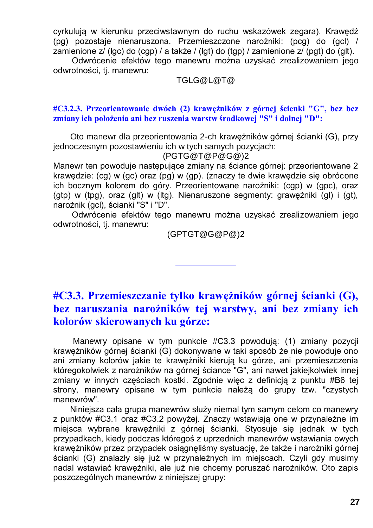cyrkulują w kierunku przeciwstawnym do ruchu wskazówek zegara). Krawędź (pg) pozostaje nienaruszona. Przemieszczone narożniki: (pcg) do (gcl) / zamienione z/ (lgc) do (cgp) / a także / (lgt) do (tgp) / zamienione z/ (pgt) do (glt).

Odwrócenie efektów tego manewru można uzyskać zrealizowaniem jego odwrotności, tj. manewru:

TGLG@L@T@

**#C3.2.3. Przeorientowanie dwóch (2) krawężników z górnej ścienki "G", bez bez zmiany ich położenia ani bez ruszenia warstw środkowej "S" i dolnej "D":**

Oto manewr dla przeorientowania 2-ch krawężników górnej ścianki (G), przy jednoczesnym pozostawieniu ich w tych samych pozycjach:

(PGTG@T@P@G@)2

Manewr ten powoduje następujące zmiany na ściance górnej: przeorientowane 2 krawędzie: (cg) w (gc) oraz (pg) w (gp). (znaczy te dwie krawędzie się obrócone ich bocznym kolorem do góry. Przeorientowane narożniki: (cgp) w (gpc), oraz (gtp) w (tpg), oraz (glt) w (ltg). Nienaruszone segmenty: grawężniki (gl) i (gt), narożnik (gcl), ścianki "S" i "D".

Odwrócenie efektów tego manewru można uzyskać zrealizowaniem jego odwrotności, tj. manewru:

(GPTGT@G@P@)2

### **#C3.3. Przemieszczanie tylko krawężników górnej ścianki (G), bez naruszania narożników tej warstwy, ani bez zmiany ich kolorów skierowanych ku górze:**

Manewry opisane w tym punkcie #C3.3 powodują: (1) zmiany pozycji krawężników górnej ścianki (G) dokonywane w taki sposób że nie powoduje ono ani zmiany kolorów jakie te krawężniki kierują ku górze, ani przemieszczenia któregokolwiek z narożników na górnej ściance "G", ani nawet jakiejkolwiek innej zmiany w innych częściach kostki. Zgodnie więc z definicją z punktu #B6 tej strony, manewry opisane w tym punkcie należą do grupy tzw. "czystych manewrów".

Niniejsza cała grupa manewrów służy niemal tym samym celom co manewry z punktów #C3.1 oraz #C3.2 powyżej. Znaczy wstawiają one w przynależne im miejsca wybrane krawężniki z górnej ścianki. Styosuje się jednak w tych przypadkach, kiedy podczas któregoś z uprzednich manewrów wstawiania owych krawężników przez przypadek osiągnęliśmy systuację, że także i narożniki górnej ścianki (G) znalazły się już w przynależnych im miejscach. Czyli gdy musimy nadal wstawiać krawężniki, ale już nie chcemy poruszać narożników. Oto zapis poszczególnych manewrów z niniejszej grupy: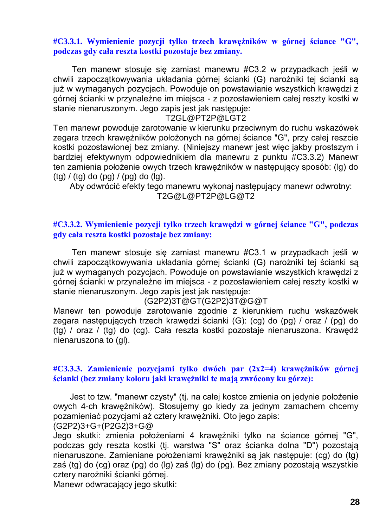#### **#C3.3.1. Wymienienie pozycji tylko trzech krawężników w górnej ściance "G", podczas gdy cała reszta kostki pozostaje bez zmiany.**

Ten manewr stosuje się zamiast manewru #C3.2 w przypadkach jeśli w chwili zapoczątkowywania układania górnej ścianki (G) narożniki tej ścianki są już w wymaganych pozycjach. Powoduje on powstawianie wszystkich krawędzi z górnej ścianki w przynależne im miejsca - z pozostawieniem całej reszty kostki w stanie nienaruszonym. Jego zapis jest jak następuje:

#### T2GL@PT2P@LGT2

Ten manewr powoduje zarotowanie w kierunku przeciwnym do ruchu wskazówek zegara trzech krawężników położonych na górnej ściance "G", przy całej reszcie kostki pozostawionej bez zmiany. (Niniejszy manewr jest więc jakby prostszym i bardziej efektywnym odpowiednikiem dla manewru z punktu #C3.3.2) Manewr ten zamienia położenie owych trzech krawężników w następujący sposób: (lg) do  $(tq) / (tq)$  do  $(pq) / (pq)$  do  $(lq)$ .

Aby odwrócić efekty tego manewru wykonaj następujący manewr odwrotny: T2G@L@PT2P@LG@T2

#### **#C3.3.2. Wymienienie pozycji tylko trzech krawędzi w górnej ściance "G", podczas gdy cała reszta kostki pozostaje bez zmiany:**

Ten manewr stosuje się zamiast manewru #C3.1 w przypadkach jeśli w chwili zapoczątkowywania układania górnej ścianki (G) narożniki tej ścianki są już w wymaganych pozycjach. Powoduje on powstawianie wszystkich krawędzi z górnej ścianki w przynależne im miejsca - z pozostawieniem całej reszty kostki w stanie nienaruszonym. Jego zapis jest jak następuje:

#### (G2P2)3T@GT(G2P2)3T@G@T

Manewr ten powoduje zarotowanie zgodnie z kierunkiem ruchu wskazówek zegara następujących trzech krawędzi ścianki (G): (cg) do (pg) / oraz / (pg) do (tg) / oraz / (tg) do (cg). Cała reszta kostki pozostaje nienaruszona. Krawędź nienaruszona to (gl).

#### **#C3.3.3. Zamienienie pozycjami tylko dwóch par (2x2=4) krawężników górnej ścianki (bez zmiany koloru jaki krawężniki te mają zwrócony ku górze):**

Jest to tzw. "manewr czysty" (tj. na całej kostce zmienia on jedynie położenie owych 4-ch krawężników). Stosujemy go kiedy za jednym zamachem chcemy pozamieniać pozycjami aż cztery krawężniki. Oto jego zapis: (G2P2)3+G+(P2G2)3+G@

Jego skutki: zmienia położeniami 4 krawężniki tylko na ściance górnej "G", podczas gdy reszta kostki (tj. warstwa "S" oraz ścianka dolna "D") pozostają nienaruszone. Zamieniane położeniami krawężniki są jak następuje: (cg) do (tg) zaś (tg) do (cg) oraz (pg) do (lg) zaś (lg) do (pg). Bez zmiany pozostają wszystkie cztery narożniki ścianki górnej.

Manewr odwracający jego skutki: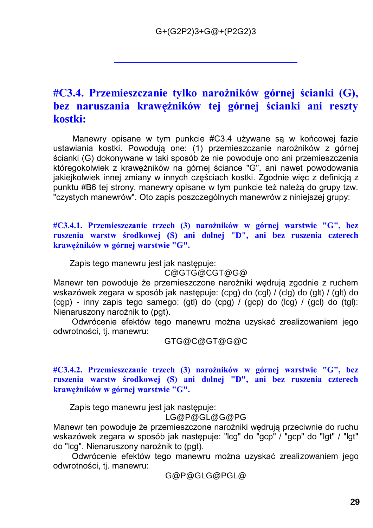### **#C3.4. Przemieszczanie tylko narożników górnej ścianki (G), bez naruszania krawężników tej górnej ścianki ani reszty kostki:**

Manewry opisane w tym punkcie #C3.4 używane są w końcowej fazie ustawiania kostki. Powodują one: (1) przemieszczanie narożników z górnej ścianki (G) dokonywane w taki sposób że nie powoduje ono ani przemieszczenia któregokolwiek z krawężników na górnej ściance "G", ani nawet powodowania jakiejkolwiek innej zmiany w innych częściach kostki. Zgodnie więc z definicją z punktu #B6 tej strony, manewry opisane w tym punkcie też należą do grupy tzw. "czystych manewrów". Oto zapis poszczególnych manewrów z niniejszej grupy:

**#C3.4.1. Przemieszczanie trzech (3) narożników w górnej warstwie "G", bez ruszenia warstw środkowej (S) ani dolnej "D", ani bez ruszenia czterech krawężników w górnej warstwie "G".**

Zapis tego manewru jest jak następuje:

#### C@GTG@CGT@G@

Manewr ten powoduje że przemieszczone narożniki wędrują zgodnie z ruchem wskazówek zegara w sposób jak następuje: (cpg) do (cgl) / (clg) do (glt) / (glt) do (cgp) - inny zapis tego samego: (gtl) do (cpg) / (gcp) do (lcg) / (gcl) do (tgl): Nienaruszony narożnik to (pgt).

Odwrócenie efektów tego manewru można uzyskać zrealizowaniem jego odwrotności, tj. manewru:

GTG@C@GT@G@C

#### **#C3.4.2. Przemieszczanie trzech (3) narożników w górnej warstwie "G", bez ruszenia warstw środkowej (S) ani dolnej "D", ani bez ruszenia czterech krawężników w górnej warstwie "G".**

Zapis tego manewru jest jak następuje:

LG@P@GL@G@PG

Manewr ten powoduje że przemieszczone narożniki wędrują przeciwnie do ruchu wskazówek zegara w sposób jak następuje: "lcg" do "gcp" / "gcp" do "lgt" / "lgt" do "lcg". Nienaruszony narożnik to (pgt).

Odwrócenie efektów tego manewru można uzyskać zrealizowaniem jego odwrotności, tj. manewru:

G@P@GLG@PGL@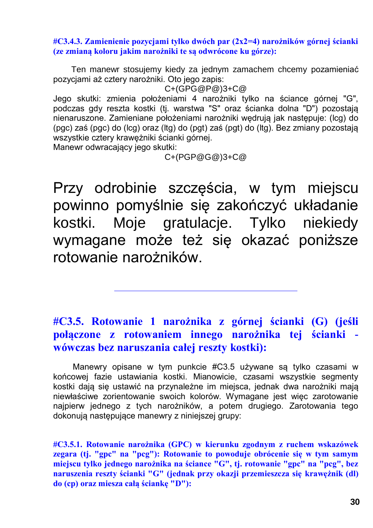**#C3.4.3. Zamienienie pozycjami tylko dwóch par (2x2=4) narożników górnej ścianki (ze zmianą koloru jakim narożniki te są odwrócone ku górze):**

Ten manewr stosujemy kiedy za jednym zamachem chcemy pozamieniać pozycjami aż cztery narożniki. Oto jego zapis:

C+(GPG@P@)3+C@

Jego skutki: zmienia położeniami 4 narożniki tylko na ściance górnej "G", podczas gdy reszta kostki (tj. warstwa "S" oraz ścianka dolna "D") pozostają nienaruszone. Zamieniane położeniami narożniki wędrują jak następuje: (lcg) do (pgc) zaś (pgc) do (lcg) oraz (ltg) do (pgt) zaś (pgt) do (ltg). Bez zmiany pozostają wszystkie cztery krawężniki ścianki górnej.

Manewr odwracający jego skutki:

C+(PGP@G@)3+C@

Przy odrobinie szczęścia, w tym miejscu powinno pomyślnie się zakończyć układanie kostki. Moje gratulacje. Tylko niekiedy wymagane może też się okazać poniższe rotowanie narożników.

### **#C3.5. Rotowanie 1 narożnika z górnej ścianki (G) (jeśli połączone z rotowaniem innego narożnika tej ścianki wówczas bez naruszania całej reszty kostki):**

Manewry opisane w tym punkcie #C3.5 używane są tylko czasami w końcowej fazie ustawiania kostki. Mianowicie, czasami wszystkie segmenty kostki dają się ustawić na przynależne im miejsca, jednak dwa narożniki mają niewłaściwe zorientowanie swoich kolorów. Wymagane jest więc zarotowanie najpierw jednego z tych narożników, a potem drugiego. Zarotowania tego dokonują następujące manewry z niniejszej grupy:

**#C3.5.1. Rotowanie narożnika (GPC) w kierunku zgodnym z ruchem wskazówek zegara (tj. "gpc" na "pcg"): Rotowanie to powoduje obrócenie się w tym samym miejscu tylko jednego narożnika na ściance "G", tj. rotowanie "gpc" na "pcg", bez naruszenia reszty ścianki "G" (jednak przy okazji przemieszcza się krawężnik (dl) do (cp) oraz miesza całą ściankę "D"):**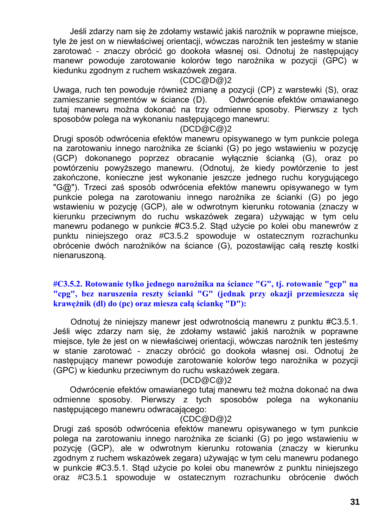Jeśli zdarzy nam się że zdołamy wstawić jakiś narożnik w poprawne miejsce, tyle że jest on w niewłaściwej orientacji, wówczas narożnik ten jesteśmy w stanie zarotować - znaczy obrócić go dookoła własnej osi. Odnotuj że następujący manewr powoduje zarotowanie kolorów tego narożnika w pozycji (GPC) w kiedunku zgodnym z ruchem wskazówek zegara.

#### (CDC@D@)2

Uwaga, ruch ten powoduje również zmianę a pozycji (CP) z warstewki (S), oraz zamieszanie segmentów w ściance (D). Odwrócenie efektów omawianego tutaj manewru można dokonać na trzy odmienne sposoby. Pierwszy z tych sposobów polega na wykonaniu następującego manewru:

#### (DCD@C@)2

Drugi sposób odwrócenia efektów manewru opisywanego w tym punkcie polega na zarotowaniu innego narożnika ze ścianki (G) po jego wstawieniu w pozycję (GCP) dokonanego poprzez obracanie wyłącznie ścianką (G), oraz po powtórzeniu powyższego manewru. (Odnotuj, że kiedy powtórzenie to jest zakończone, konieczne jest wykonanie jeszcze jednego ruchu korygującego "G@"). Trzeci zaś sposób odwrócenia efektów manewru opisywanego w tym punkcie polega na zarotowaniu innego narożnika ze ścianki (G) po jego wstawieniu w pozycję (GCP), ale w odwrotnym kierunku rotowania (znaczy w kierunku przeciwnym do ruchu wskazówek zegara) używając w tym celu manewru podanego w punkcie #C3.5.2. Stąd użycie po kolei obu manewrów z punktu niniejszego oraz #C3.5.2 spowoduje w ostatecznym rozrachunku obrócenie dwóch narożników na ściance (G), pozostawijąc całą resztę kostki nienaruszoną.

#### **#C3.5.2. Rotowanie tylko jednego narożnika na ściance "G", tj. rotowanie "gcp" na "cpg", bez naruszenia reszty ścianki "G" (jednak przy okazji przemieszcza się krawężnik (dl) do (pc) oraz miesza całą ściankę "D"):**

Odnotuj że niniejszy manewr jest odwrotnością manewru z punktu #C3.5.1. Jeśli więc zdarzy nam się, że zdołamy wstawić jakiś narożnik w poprawne miejsce, tyle że jest on w niewłaściwej orientacji, wówczas narożnik ten jesteśmy w stanie zarotować - znaczy obrócić go dookoła własnej osi. Odnotuj że następujący manewr powoduje zarotowanie kolorów tego narożnika w pozycji (GPC) w kiedunku przeciwnym do ruchu wskazówek zegara.

#### (DCD@C@)2

Odwrócenie efektów omawianego tutaj manewru też można dokonać na dwa odmienne sposoby. Pierwszy z tych sposobów polega na wykonaniu następującego manewru odwracającego:

#### (CDC@D@)2

Drugi zaś sposób odwrócenia efektów manewru opisywanego w tym punkcie polega na zarotowaniu innego narożnika ze ścianki (G) po jego wstawieniu w pozycję (GCP), ale w odwrotnym kierunku rotowania (znaczy w kierunku zgodnym z ruchem wskazówek zegara) używając w tym celu manewru podanego w punkcie #C3.5.1. Stąd użycie po kolei obu manewrów z punktu niniejszego oraz #C3.5.1 spowoduje w ostatecznym rozrachunku obrócenie dwóch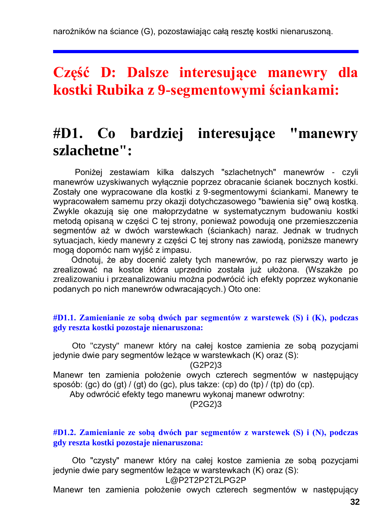### **Część D: Dalsze interesujące manewry dla kostki Rubika z 9-segmentowymi ściankami:**

## **#D1. Co bardziej interesujące "manewry szlachetne":**

Poniżej zestawiam kilka dalszych "szlachetnych" manewrów - czyli manewrów uzyskiwanych wyłącznie poprzez obracanie ścianek bocznych kostki. Zostały one wypracowane dla kostki z 9-segmentowymi ściankami. Manewry te wypracowałem samemu przy okazji dotychczasowego "bawienia się" ową kostką. Zwykle okazują się one małoprzydatne w systematycznym budowaniu kostki metodą opisaną w części C tej strony, ponieważ powodują one przemieszczenia segmentów aż w dwóch warstewkach (ściankach) naraz. Jednak w trudnych sytuacjach, kiedy manewry z części C tej strony nas zawiodą, poniższe manewry mogą dopomóc nam wyjść z impasu.

Odnotuj, że aby docenić zalety tych manewrów, po raz pierwszy warto je zrealizować na kostce która uprzednio została już ułożona. (Wszakże po zrealizowaniu i przeanalizowaniu można podwrócić ich efekty poprzez wykonanie podanych po nich manewrów odwracających.) Oto one:

#### **#D1.1. Zamienianie ze sobą dwóch par segmentów z warstewek (S) i (K), podczas gdy reszta kostki pozostaje nienaruszona:**

Oto "czysty" manewr który na całej kostce zamienia ze sobą pozycjami jedynie dwie pary segmentów leżące w warstewkach (K) oraz (S):

(G2P2)3

Manewr ten zamienia położenie owych czterech segmentów w następujący sposób: (gc) do (gt) / (gt) do (gc), plus takze: (cp) do (tp) / (tp) do (cp).

Aby odwrócić efekty tego manewru wykonaj manewr odwrotny:

(P2G2)3

#### **#D1.2. Zamienianie ze sobą dwóch par segmentów z warstewek (S) i (N), podczas gdy reszta kostki pozostaje nienaruszona:**

Oto "czysty" manewr który na całej kostce zamienia ze sobą pozycjami jedynie dwie pary segmentów leżące w warstewkach (K) oraz (S): L@P2T2P2T2LPG2P

Manewr ten zamienia położenie owych czterech segmentów w następujący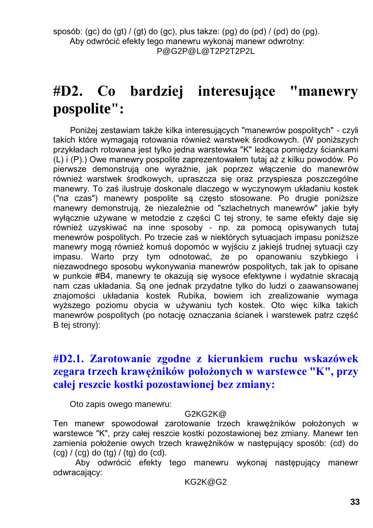## **#D2. Co bardziej interesujące "manewry pospolite":**

Poniżej zestawiam także kilka interesujących "manewrów pospolitych" - czyli takich które wymagają rotowania również warstwek środkowych. (W poniższych przykładach rotowana jest tylko jedna warstewka "K" leżąca pomiędzy ściankami (L) i (P).) Owe manewry pospolite zaprezentowałem tutaj aż z kilku powodów. Po pierwsze demonstrują one wyraźnie, jak poprzez włączenie do manewrów również warstwek środkowych, upraszcza się oraz przyspiesza poszczególne manewry. To zaś ilustruje doskonale dlaczego w wyczynowym układaniu kostek ("na czas") manewry pospolite są często stosowane. Po drugie poniższe manewry demonstrują, że niezależnie od "szlachetnych manewrów" jakie były wyłącznie używane w metodzie z części C tej strony, te same efekty daje się również uzyskiwać na inne sposoby - np. za pomocą opisywanych tutaj menewrów pospolitych. Po trzecie zaś w niektórych sytuacjach impasu poniższe manewry mogą również komuś dopomóc w wyjściu z jakiejś trudnej sytuacji czy impasu. Warto przy tym odnotować, że po opanowaniu szybkiego i niezawodnego sposobu wykonywania manewrów pospolitych, tak jak to opisane w punkcie #B4, manewry te okazują się wysoce efektywne i wydatnie skracają nam czas układania. Są one jednak przydatne tylko do ludzi o zaawansowanej znajomości układania kostek Rubika, bowiem ich zrealizowanie wymaga wyższego poziomu obycia w używaniu tych kostek. Oto więc kilka takich manewrów pospolitych (po notację oznaczania ścianek i warstewek patrz część B tej strony):

### **#D2.1. Zarotowanie zgodne z kierunkiem ruchu wskazówek zegara trzech krawężników położonych w warstewce "K", przy całej reszcie kostki pozostawionej bez zmiany:**

Oto zapis owego manewru:

#### G2KG2K@

Ten manewr spowodował zarotowanie trzech krawężników położonych w warstewce "K", przy całej reszcie kostki pozostawionej bez zmiany. Manewr ten zamienia położenie owych trzech krawężników w następujący sposób: (cd) do  $(cq) / (cq)$  do  $(tq) / (tq)$  do  $(cd)$ .

Aby odwrócić efekty tego manewru wykonaj następujący manewr odwracający:

KG2K@G2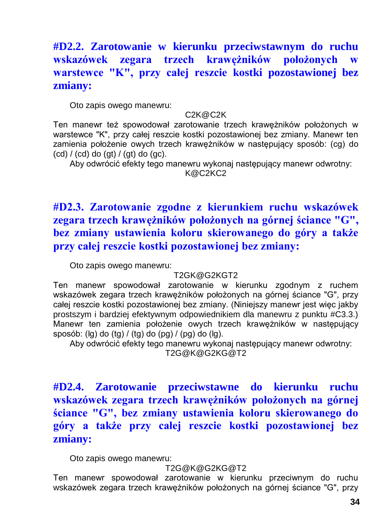### **#D2.2. Zarotowanie w kierunku przeciwstawnym do ruchu wskazówek zegara trzech krawężników położonych w warstewce "K", przy całej reszcie kostki pozostawionej bez zmiany:**

Oto zapis owego manewru:

#### C2K@C2K

Ten manewr też spowodował zarotowanie trzech krawężników położonych w warstewce "K", przy całej reszcie kostki pozostawionej bez zmiany. Manewr ten zamienia położenie owych trzech krawężników w następujący sposób: (cg) do  $(cd) / (cd)$  do  $(qt) / (gt)$  do  $(qc)$ .

Aby odwrócić efekty tego manewru wykonaj następujący manewr odwrotny:

K@C2KC2

### **#D2.3. Zarotowanie zgodne z kierunkiem ruchu wskazówek zegara trzech krawężników położonych na górnej ściance "G", bez zmiany ustawienia koloru skierowanego do góry a także przy całej reszcie kostki pozostawionej bez zmiany:**

Oto zapis owego manewru:

#### T2GK@G2KGT2

Ten manewr spowodował zarotowanie w kierunku zgodnym z ruchem wskazówek zegara trzech krawężników położonych na górnej ściance "G", przy całej reszcie kostki pozostawionej bez zmiany. (Niniejszy manewr jest więc jakby prostszym i bardziej efektywnym odpowiednikiem dla manewru z punktu #C3.3.) Manewr ten zamienia położenie owych trzech krawężników w następujący sposób: ( $\lg$ ) do ( $\lg$ ) / ( $\lg$ ) do ( $\lg$ ) / ( $\lg$ ) do ( $\lg$ ).

Aby odwrócić efekty tego manewru wykonaj następujący manewr odwrotny: T2G@K@G2KG@T2

**#D2.4. Zarotowanie przeciwstawne do kierunku ruchu wskazówek zegara trzech krawężników położonych na górnej ściance "G", bez zmiany ustawienia koloru skierowanego do góry a także przy całej reszcie kostki pozostawionej bez zmiany:**

Oto zapis owego manewru:

#### T2G@K@G2KG@T2

Ten manewr spowodował zarotowanie w kierunku przeciwnym do ruchu wskazówek zegara trzech krawężników położonych na górnej ściance "G", przy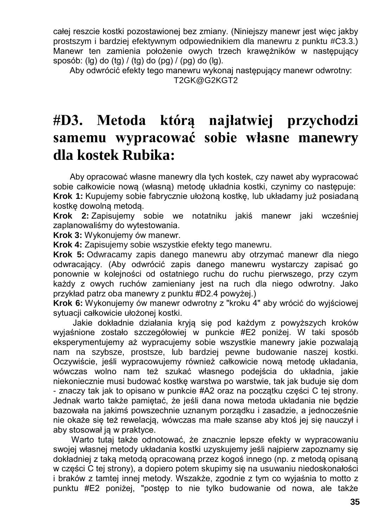całej reszcie kostki pozostawionej bez zmiany. (Niniejszy manewr jest więc jakby prostszym i bardziej efektywnym odpowiednikiem dla manewru z punktu #C3.3.) Manewr ten zamienia położenie owych trzech krawężników w następujący sposób: (lg) do (tg) / (tg) do (pg) / (pg) do (lg).

Aby odwrócić efekty tego manewru wykonaj następujący manewr odwrotny: T2GK@G2KGT2

## **#D3. Metoda którą najłatwiej przychodzi samemu wypracować sobie własne manewry dla kostek Rubika:**

Aby opracować własne manewry dla tych kostek, czy nawet aby wypracować sobie całkowicie nową (własną) metodę układnia kostki, czynimy co następuje: **Krok 1:** Kupujemy sobie fabrycznie ułożoną kostkę, lub układamy już posiadaną kostkę dowolną metodą.

**Krok 2:** Zapisujemy sobie we notatniku jakiś manewr jaki wcześniej zaplanowaliśmy do wytestowania.

**Krok 3:** Wykonujemy ów manewr.

**Krok 4:** Zapisujemy sobie wszystkie efekty tego manewru.

**Krok 5:** Odwracamy zapis danego manewru aby otrzymać manewr dla niego odwracający. (Aby odwrócić zapis danego manewru wystarczy zapisać go ponownie w kolejności od ostatniego ruchu do ruchu pierwszego, przy czym każdy z owych ruchów zamieniany jest na ruch dla niego odwrotny. Jako przykład patrz oba manewry z punktu #D2.4 powyżej.)

**Krok 6:** Wykonujemy ów manewr odwrotny z "kroku 4" aby wrócić do wyjściowej sytuacji całkowicie ułożonej kostki.

Jakie dokładnie działania kryją się pod każdym z powyższych kroków wyjaśnione zostało szczegółowiej w punkcie #E2 poniżej. W taki sposób eksperymentujemy aż wypracujemy sobie wszystkie manewry jakie pozwalają nam na szybsze, prostsze, lub bardziej pewne budowanie naszej kostki. Oczywiście, jeśli wypracowujemy również całkowicie nową metodę układania, wówczas wolno nam też szukać własnego podejścia do układnia, jakie niekoniecznie musi budować kostkę warstwa po warstwie, tak jak buduje się dom - znaczy tak jak to opisano w punkcie #A2 oraz na początku części C tej strony. Jednak warto także pamiętać, że jeśli dana nowa metoda układania nie będzie bazowała na jakimś powszechnie uznanym porządku i zasadzie, a jednocześnie nie okaże się też rewelacją, wówczas ma małe szanse aby ktoś jej się nauczył i aby stosował ją w praktyce.

Warto tutaj także odnotować, że znacznie lepsze efekty w wypracowaniu swojej własnej metody układania kostki uzyskujemy jeśli najpierw zapoznamy się dokładniej z taką metodą opracowaną przez kogoś innego (np. z metodą opisaną w części C tej strony), a dopiero potem skupimy się na usuwaniu niedoskonałości i braków z tamtej innej metody. Wszakże, zgodnie z tym co wyjaśnia to motto z punktu #E2 poniżej, "postęp to nie tylko budowanie od nowa, ale także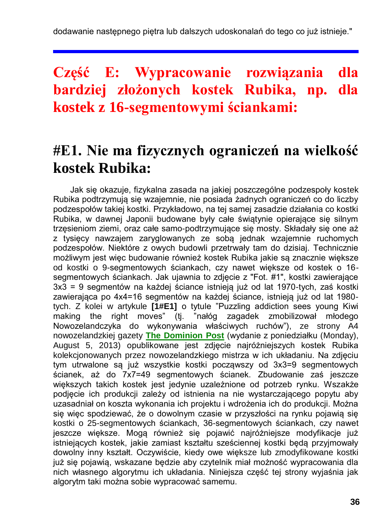dodawanie następnego piętra lub dalszych udoskonalań do tego co już istnieje."

## **Część E: Wypracowanie rozwiązania dla bardziej złożonych kostek Rubika, np. dla kostek z 16-segmentowymi ściankami:**

### **#E1. Nie ma fizycznych ograniczeń na wielkość kostek Rubika:**

Jak się okazuje, fizykalna zasada na jakiej poszczególne podzespoły kostek Rubika podtrzymują się wzajemnie, nie posiada żadnych ograniczeń co do liczby podzespołów takiej kostki. Przykładowo, na tej samej zasadzie działania co kostki Rubika, w dawnej Japonii budowane były całe świątynie opierające się silnym trzęsieniom ziemi, oraz całe samo-podtrzymujące się mosty. Składały się one aż z tysięcy nawzajem zaryglowanych ze sobą jednak wzajemnie ruchomych podzespołów. Niektóre z owych budowli przetrwały tam do dzisiaj. Technicznie możliwym jest więc budowanie również kostek Rubika jakie są znacznie większe od kostki o 9-segmentowych ściankach, czy nawet większe od kostek o 16 segmentowych ściankach. Jak ujawnia to zdjęcie z "Fot. #1", kostki zawierające 3x3 = 9 segmentów na każdej ściance istnieją już od lat 1970-tych, zaś kostki zawierająca po 4x4=16 segmentów na każdej ściance, istnieją już od lat 1980 tych. Z kolei w artykule **[1#E1]** o tytule "Puzzling addiction sees young Kiwi making the right moves" (tj. "nałóg zagadek zmobilizował młodego Nowozelandczyka do wykonywania właściwych ruchów"), ze strony A4 nowozelandzkiej gazety **[The Dominion Post](http://www.dompost.co.nz/)** (wydanie z poniedziałku (Monday), August 5, 2013) opublikowane jest zdjęcie najróżniejszych kostek Rubika kolekcjonowanych przez nowozelandzkiego mistrza w ich układaniu. Na zdjęciu tym utrwalone są już wszystkie kostki począwszy od 3x3=9 segmentowych ścianek, aż do 7x7=49 segmentowych ścianek. Zbudowanie zaś jeszcze większych takich kostek jest jedynie uzależnione od potrzeb rynku. Wszakże podjęcie ich produkcji zależy od istnienia na nie wystarczającego popytu aby uzasadniał on koszta wykonania ich projektu i wdrożenia ich do produkcji. Można się więc spodziewać, że o dowolnym czasie w przyszłości na rynku pojawią się kostki o 25-segmentowych ściankach, 36-segmentowych ściankach, czy nawet jeszcze większe. Mogą również się pojawić najróżniejsze modyfikacje już istniejących kostek, jakie zamiast kształtu sześciennej kostki będą przyjmowały dowolny inny kształt. Oczywiście, kiedy owe większe lub zmodyfikowane kostki już się pojawią, wskazane będzie aby czytelnik miał możność wypracowania dla nich własnego algorytmu ich układania. Niniejsza część tej strony wyjaśnia jak algorytm taki można sobie wypracować samemu.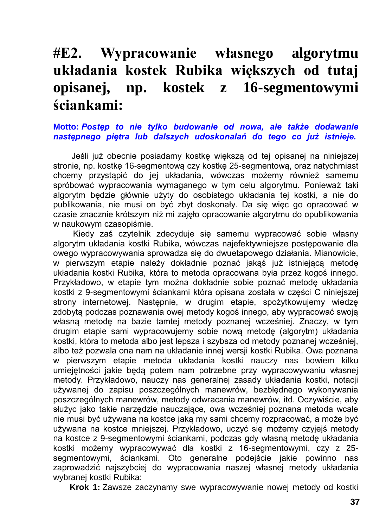## **#E2. Wypracowanie własnego algorytmu układania kostek Rubika większych od tutaj opisanej, np. kostek z 16-segmentowymi ściankami:**

#### **Motto:** *Postęp to nie tylko budowanie od nowa, ale także dodawanie następnego piętra lub dalszych udoskonalań do tego co już istnieje.*

Jeśli już obecnie posiadamy kostkę większą od tej opisanej na niniejszej stronie, np. kostkę 16-segmentową czy kostkę 25-segmentową, oraz natychmiast chcemy przystąpić do jej układania, wówczas możemy również samemu spróbować wypracowania wymaganego w tym celu algorytmu. Ponieważ taki algorytm będzie głównie użyty do osobistego układania tej kostki, a nie do publikowania, nie musi on być zbyt doskonały. Da się więc go opracować w czasie znacznie krótszym niż mi zajęło opracowanie algorytmu do opublikowania w naukowym czasopiśmie.

Kiedy zaś czytelnik zdecyduje się samemu wypracować sobie własny algorytm układania kostki Rubika, wówczas najefektywniejsze postępowanie dla owego wypracowywania sprowadza się do dwuetapowego działania. Mianowicie, w pierwszym etapie należy dokładnie poznać jakąś już istniejącą metodę układania kostki Rubika, która to metoda opracowana była przez kogoś innego. Przykładowo, w etapie tym można dokładnie sobie poznać metodę układania kostki z 9-segmentowymi ściankami która opisana została w części C niniejszej strony internetowej. Następnie, w drugim etapie, spożytkowujemy wiedzę zdobytą podczas poznawania owej metody kogoś innego, aby wypracować swoją własną metodę na bazie tamtej metody poznanej wcześniej. Znaczy, w tym drugim etapie sami wypracowujemy sobie nową metodę (algorytm) układania kostki, która to metoda albo jest lepsza i szybsza od metody poznanej wcześniej, albo też pozwala ona nam na układanie innej wersji kostki Rubika. Owa poznana w pierwszym etapie metoda układania kostki nauczy nas bowiem kilku umiejętności jakie będą potem nam potrzebne przy wypracowywaniu własnej metody. Przykładowo, nauczy nas generalnej zasady układania kostki, notacji używanej do zapisu poszczególnych manewrów, bezbłędnego wykonywania poszczególnych manewrów, metody odwracania manewrów, itd. Oczywiście, aby służyc jako takie narzędzie nauczające, owa wcześniej poznana metoda wcale nie musi być używana na kostce jaką my sami chcemy rozpracować, a może być używana na kostce mniejszej. Przykładowo, uczyć się możemy czyjejś metody na kostce z 9-segmentowymi ściankami, podczas gdy własną metodę układania kostki możemy wypracowywać dla kostki z 16-segmentowymi, czy z 25 segmentowymi, ściankami. Oto generalne podejście jakie powinno nas zaprowadzić najszybciej do wypracowania naszej własnej metody układania wybranej kostki Rubika:

**Krok 1:** Zawsze zaczynamy swe wypracowywanie nowej metody od kostki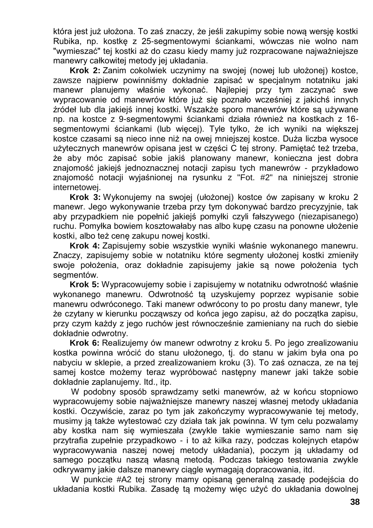która jest już ułożona. To zaś znaczy, że jeśli zakupimy sobie nową wersję kostki Rubika, np. kostkę z 25-segmentowymi ściankami, wówczas nie wolno nam "wymieszać" tej kostki aż do czasu kiedy mamy już rozpracowane najważniejsze manewry całkowitej metody jej układania.

**Krok 2:** Zanim cokolwiek uczynimy na swojej (nowej lub ułożonej) kostce, zawsze najpierw powinniśmy dokładnie zapisać w specjalnym notatniku jaki manewr planujemy właśnie wykonać. Najlepiej przy tym zaczynać swe wypracowanie od manewrów które już się poznało wcześniej z jakichś innych źródeł lub dla jakiejś innej kostki. Wszakże sporo manewrów które są używane np. na kostce z 9-segmentowymi ściankami działa również na kostkach z 16 segmentowymi ściankami (lub więcej). Tyle tylko, że ich wyniki na większej kostce czasami są nieco inne niż na owej mniejszej kostce. Duża liczba wysoce użytecznych manewrów opisana jest w części C tej strony. Pamiętać też trzeba, że aby móc zapisać sobie jakiś planowany manewr, konieczna jest dobra znajomość jakiejś jednoznacznej notacji zapisu tych manewrów - przykładowo znajomość notacji wyjaśnionej na rysunku z "Fot. #2" na niniejszej stronie internetowej.

**Krok 3:** Wykonujemy na swojej (ułożonej) kostce ów zapisany w kroku 2 manewr. Jego wykonywanie trzeba przy tym dokonywać bardzo precyzyjnie, tak aby przypadkiem nie popełnić jakiejś pomyłki czyli fałszywego (niezapisanego) ruchu. Pomyłka bowiem kosztowałaby nas albo kupę czasu na ponowne ułożenie kostki, albo też cenę zakupu nowej kostki.

**Krok 4:** Zapisujemy sobie wszystkie wyniki właśnie wykonanego manewru. Znaczy, zapisujemy sobie w notatniku które segmenty ułożonej kostki zmieniły swoje położenia, oraz dokładnie zapisujemy jakie są nowe położenia tych segmentów.

**Krok 5:** Wypracowujemy sobie i zapisujemy w notatniku odwrotność właśnie wykonanego manewru. Odwrotność tą uzyskujemy poprzez wypisanie sobie manewru odwróconego. Taki manewr odwrócony to po prostu dany manewr, tyle że czytany w kierunku począwszy od końca jego zapisu, aż do początka zapisu, przy czym każdy z jego ruchów jest równocześnie zamieniany na ruch do siebie dokładnie odwrotny.

**Krok 6:** Realizujemy ów manewr odwrotny z kroku 5. Po jego zrealizowaniu kostka powinna wrócić do stanu ułożonego, tj. do stanu w jakim była ona po nabyciu w sklepie, a przed zrealizowaniem kroku (3). To zaś oznacza, ze na tej samej kostce możemy teraz wypróbować następny manewr jaki także sobie dokładnie zaplanujemy. Itd., itp.

W podobny sposób sprawdzamy setki manewrów, aż w końcu stopniowo wypracowujemy sobie najważniejsze manewry naszej własnej metody układania kostki. Oczywiście, zaraz po tym jak zakończymy wypracowywanie tej metody, musimy ją także wytestować czy działa tak jak powinna. W tym celu pozwalamy aby kostka nam się wymieszała (zwykle takie wymieszanie samo nam się przytrafia zupełnie przypadkowo - i to aż kilka razy, podczas kolejnych etapów wypracowywania naszej nowej metody układania), poczym ją układamy od samego początku naszą własną metodą. Podczas takiego testowania zwykle odkrywamy jakie dalsze manewry ciągle wymagają dopracowania, itd.

W punkcie #A2 tej strony mamy opisaną generalną zasadę podejścia do układania kostki Rubika. Zasadę tą możemy więc użyć do układania dowolnej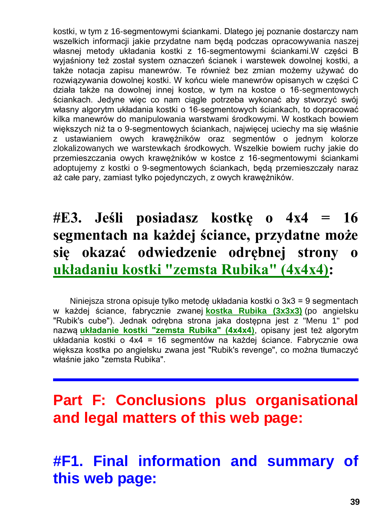kostki, w tym z 16-segmentowymi ściankami. Dlatego jej poznanie dostarczy nam wszelkich informacji jakie przydatne nam będą podczas opracowywania naszej własnej metody układania kostki z 16-segmentowymi ściankami.W części B wyjaśniony też został system oznaczeń ścianek i warstewek dowolnej kostki, a także notacja zapisu manewrów. Te również bez zmian możemy używać do rozwiązywania dowolnej kostki. W końcu wiele manewrów opisanych w części C działa także na dowolnej innej kostce, w tym na kostce o 16-segmentowych ściankach. Jedyne więc co nam ciągle potrzeba wykonać aby stworzyć swój własny algorytm układania kostki o 16-segmentowych ściankach, to dopracować kilka manewrów do manipulowania warstwami środkowymi. W kostkach bowiem większych niż ta o 9-segmentowych ściankach, najwięcej uciechy ma się właśnie z ustawianiem owych krawężników oraz segmentów o jednym kolorze zlokalizowanych we warstewkach środkowych. Wszelkie bowiem ruchy jakie do przemieszczania owych krawężników w kostce z 16-segmentowymi ściankami adoptujemy z kostki o 9-segmentowych ściankach, będą przemieszczały naraz aż całe pary, zamiast tylko pojedynczych, z owych krawężników.

# **#E3. Jeśli posiadasz kostkę o 4x4 = 16 segmentach na każdej ściance, przydatne może się okazać odwiedzenie odrębnej strony o [układaniu kostki "zemsta Rubika" \(4x4x4\):](http://totalizm.com.pl/rubik_16_pl.htm)**

Niniejsza strona opisuje tylko metodę układania kostki o 3x3 = 9 segmentach w każdej ściance, fabrycznie zwanej **[kostka Rubika \(3x3x3\)](http://totalizm.com.pl/rubik_pl.htm)** (po angielsku "Rubik's cube"). Jednak odrębna strona jaka dostępna jest z "Menu 1" pod nazwą **[układanie kostki "zemsta Rubika" \(4x4x4\)](http://totalizm.com.pl/rubik_16_pl.htm)**, opisany jest też algorytm układania kostki o 4x4 = 16 segmentów na każdej ściance. Fabrycznie owa większa kostka po angielsku zwana jest "Rubik's revenge", co można tłumaczyć właśnie jako "zemsta Rubika".

# **Part F: Conclusions plus organisational and legal matters of this web page:**

# **#F1. Final information and summary of this web page:**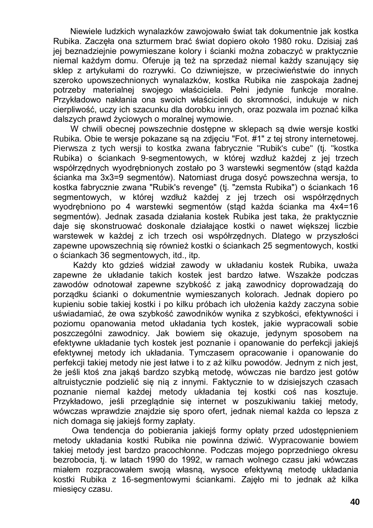Niewiele ludzkich wynalazków zawojowało świat tak dokumentnie jak kostka Rubika. Zaczęła ona szturmem brać świat dopiero około 1980 roku. Dzisiaj zaś jej beznadziejnie powymieszane kolory i ścianki można zobaczyć w praktycznie niemal każdym domu. Oferuje ją też na sprzedaż niemal każdy szanujący się sklep z artykułami do rozrywki. Co dziwniejsze, w przeciwieństwie do innych szeroko upowszechnionych wynalazków, kostka Rubika nie zaspokaja żadnej potrzeby materialnej swojego właściciela. Pełni jedynie funkcje moralne. Przykładowo nakłania ona swoich właścicieli do skromności, indukuje w nich cierpliwość, uczy ich szacunku dla dorobku innych, oraz pozwala im poznać kilka dalszych prawd życiowych o moralnej wymowie.

W chwili obecnej powszechnie dostępne w sklepach są dwie wersje kostki Rubika. Obie te wersje pokazane są na zdjęciu "Fot. #1" z tej strony internetowej. Pierwsza z tych wersji to kostka zwana fabrycznie "Rubik's cube" (tj. "kostka Rubika) o ściankach 9-segmentowych, w której wzdłuż każdej z jej trzech współrzędnych wyodrębnionych zostało po 3 warstewki segmentów (stąd każda ścianka ma 3x3=9 segmentów). Natomiast druga dosyć powszechna wersja, to kostka fabrycznie zwana "Rubik's revenge" (tj. "zemsta Rubika") o ściankach 16 segmentowych, w której wzdłuż każdej z jej trzech osi współrzędnych wyodrębniono po 4 warstewki segmentów (stąd każda ścianka ma 4x4=16 segmentów). Jednak zasada działania kostek Rubika jest taka, że praktycznie daje się skonstruować doskonale działające kostki o nawet większej liczbie warstewek w każdej z ich trzech osi współrzędnych. Dlatego w przyszłości zapewne upowszechnią się również kostki o ściankach 25 segmentowych, kostki o ściankach 36 segmentowych, itd., itp.

Każdy kto gdzieś widział zawody w układaniu kostek Rubika, uważa zapewne że układanie takich kostek jest bardzo łatwe. Wszakże podczas zawodów odnotował zapewne szybkość z jaką zawodnicy doprowadzają do porządku ścianki o dokumentnie wymieszanych kolorach. Jednak dopiero po kupieniu sobie takiej kostki i po kilku próbach ich ułożenia każdy zaczyna sobie uświadamiać, że owa szybkość zawodników wynika z szybkości, efektywności i poziomu opanowania metod układania tych kostek, jakie wypracowali sobie poszczególni zawodnicy. Jak bowiem się okazuje, jedynym sposobem na efektywne układanie tych kostek jest poznanie i opanowanie do perfekcji jakiejś efektywnej metody ich układania. Tymczasem opracowanie i opanowanie do perfekcji takiej metody nie jest łatwe i to z aż kilku powodów. Jednym z nich jest, że jeśli ktoś zna jakąś bardzo szybką metodę, wówczas nie bardzo jest gotów altruistycznie podzielić się nią z innymi. Faktycznie to w dzisiejszych czasach poznanie niemal każdej metody układania tej kostki coś nas kosztuje. Przykładowo, jeśli przeglądnie się internet w poszukiwaniu takiej metody, wówczas wprawdzie znajdzie się sporo ofert, jednak niemal każda co lepsza z nich domaga się jakiejś formy zapłaty.

Owa tendencja do pobierania jakiejś formy opłaty przed udostępnieniem metody układania kostki Rubika nie powinna dziwić. Wypracowanie bowiem takiej metody jest bardzo pracochłonne. Podczas mojego poprzedniego okresu bezrobocia, tj. w latach 1990 do 1992, w ramach wolnego czasu jaki wówczas miałem rozpracowałem swoją własną, wysoce efektywną metodę układania kostki Rubika z 16-segmentowymi ściankami. Zajęło mi to jednak aż kilka miesięcy czasu.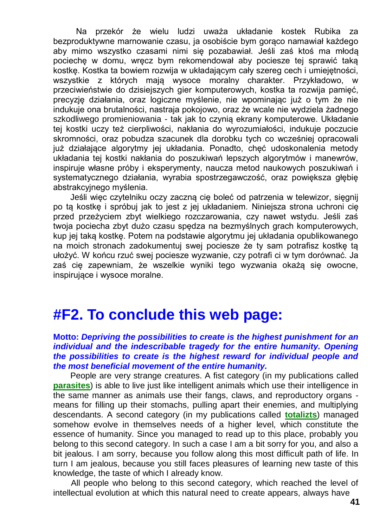Na przekór że wielu ludzi uważa układanie kostek Rubika za bezproduktywne marnowanie czasu, ja osobiście bym gorąco namawiał każdego aby mimo wszystko czasami nimi się pozabawiał. Jeśli zaś ktoś ma młodą pociechę w domu, wręcz bym rekomendował aby pociesze tej sprawić taką kostkę. Kostka ta bowiem rozwija w układającym cały szereg cech i umiejętności, wszystkie z których mają wysoce moralny charakter. Przykładowo, w przeciwieństwie do dzisiejszych gier komputerowych, kostka ta rozwija pamięć, precyzję działania, oraz logiczne myślenie, nie wpominając już o tym że nie indukuje ona brutalności, nastraja pokojowo, oraz że wcale nie wydziela żadnego szkodliwego promieniowania - tak jak to czynią ekrany komputerowe. Układanie tej kostki uczy też cierpliwości, nakłania do wyrozumiałości, indukuje poczucie skromności, oraz pobudza szacunek dla dorobku tych co wcześniej opracowali już działające algorytmy jej układania. Ponadto, chęć udoskonalenia metody układania tej kostki nakłania do poszukiwań lepszych algorytmów i manewrów, inspiruje własne próby i eksperymenty, naucza metod naukowych poszukiwań i systematycznego działania, wyrabia spostrzegawczość, oraz powiększa głębię abstrakcyjnego myślenia.

Jeśli więc czytelniku oczy zaczną cię boleć od patrzenia w telewizor, sięgnij po tą kostkę i spróbuj jak to jest z jej układaniem. Niniejsza strona uchroni cię przed przeżyciem zbyt wielkiego rozczarowania, czy nawet wstydu. Jeśli zaś twoja pociecha zbyt dużo czasu spędza na bezmyślnych grach komputerowych, kup jej taką kostkę. Potem na podstawie algorytmu jej układania opublikowanego na moich stronach zadokumentuj swej pociesze że ty sam potrafisz kostkę tą ułożyć. W końcu rzuć swej pociesze wyzwanie, czy potrafi ci w tym dorównać. Ja zaś cię zapewniam, że wszelkie wyniki tego wyzwania okażą się owocne, inspirujące i wysoce moralne.

### **#F2. To conclude this web page:**

#### **Motto:** *Depriving the possibilities to create is the highest punishment for an individual and the indescribable tragedy for the entire humanity. Opening the possibilities to create is the highest reward for individual people and the most beneficial movement of the entire humanity.*

People are very strange creatures. A fist category (in my publications called **[parasites](http://totalizm.com.pl/totalizm.htm)**) is able to live just like intelligent animals which use their intelligence in the same manner as animals use their fangs, claws, and reproductory organs means for filling up their stomachs, pulling apart their enemies, and multiplying descendants. A second category (in my publications called **[totalizts](http://totalizm.com.pl/karma.htm)**) managed somehow evolve in themselves needs of a higher level, which constitute the essence of humanity. Since you managed to read up to this place, probably you belong to this second category. In such a case I am a bit sorry for you, and also a bit jealous. I am sorry, because you follow along this most difficult path of life. In turn I am jealous, because you still faces pleasures of learning new taste of this knowledge, the taste of which I already know.

All people who belong to this second category, which reached the level of intellectual evolution at which this natural need to create appears, always have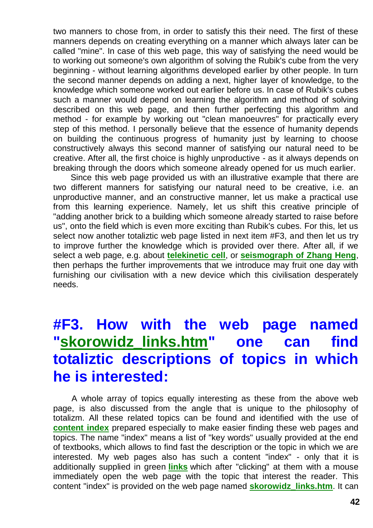two manners to chose from, in order to satisfy this their need. The first of these manners depends on creating everything on a manner which always later can be called "mine". In case of this web page, this way of satisfying the need would be to working out someone's own algorithm of solving the Rubik's cube from the very beginning - without learning algorithms developed earlier by other people. In turn the second manner depends on adding a next, higher layer of knowledge, to the knowledge which someone worked out earlier before us. In case of Rubik's cubes such a manner would depend on learning the algorithm and method of solving described on this web page, and then further perfecting this algorithm and method - for example by working out "clean manoeuvres" for practically every step of this method. I personally believe that the essence of humanity depends on building the continuous progress of humanity just by learning to choose constructively always this second manner of satisfying our natural need to be creative. After all, the first choice is highly unproductive - as it always depends on breaking through the doors which someone already opened for us much earlier.

Since this web page provided us with an illustrative example that there are two different manners for satisfying our natural need to be creative, i.e. an unproductive manner, and an constructive manner, let us make a practical use from this learning experience. Namely, let us shift this creative principle of "adding another brick to a building which someone already started to raise before us", onto the field which is even more exciting than Rubik's cubes. For this, let us select now another totaliztic web page listed in next item #F3, and then let us try to improve further the knowledge which is provided over there. After all, if we select a web page, e.g. about **[telekinetic cell](http://totalizm.com.pl/fe_cell.htm)**, or **[seismograph of Zhang Heng](http://totalizm.com.pl/seismograph.htm)**, then perhaps the further improvements that we introduce may fruit one day with furnishing our civilisation with a new device which this civilisation desperately needs.

# **#F3. How with the web page named ["skorowidz\\_links.htm"](http://totalizm.com.pl/skorowidz_links.htm) one can find totaliztic descriptions of topics in which he is interested:**

A whole array of topics equally interesting as these from the above web page, is also discussed from the angle that is unique to the philosophy of totalizm. All these related topics can be found and identified with the use of **[content index](http://totalizm.com.pl/skorowidz_links.htm)** prepared especially to make easier finding these web pages and topics. The name "index" means a list of "key words" usually provided at the end of textbooks, which allows to find fast the description or the topic in which we are interested. My web pages also has such a content "index" - only that it is additionally supplied in green **[links](http://totalizm.com.pl/artefact.htm)** which after "clicking" at them with a mouse immediately open the web page with the topic that interest the reader. This content "index" is provided on the web page named **[skorowidz\\_links.htm](http://totalizm.com.pl/skorowidz_links.htm)**. It can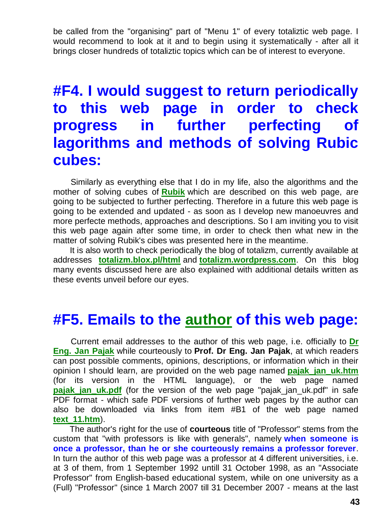be called from the "organising" part of "Menu 1" of every totaliztic web page. I would recommend to look at it and to begin using it systematically - after all it brings closer hundreds of totaliztic topics which can be of interest to everyone.

## **#F4. I would suggest to return periodically to this web page in order to check progress in further perfecting of lagorithms and methods of solving Rubic cubes:**

Similarly as everything else that I do in my life, also the algorithms and the mother of solving cubes of **[Rubik](http://totalizm.com.pl/rubik.htm)** which are described on this web page, are going to be subjected to further perfecting. Therefore in a future this web page is going to be extended and updated - as soon as I develop new manoeuvres and more perfecte methods, approaches and descriptions. So I am inviting you to visit this web page again after some time, in order to check then what new in the matter of solving Rubik's cibes was presented here in the meantime.

It is also worth to check periodically the blog of totalizm, currently available at addresses **[totalizm.blox.pl/html](http://totalizm.blox.pl/html/)** and **[totalizm.wordpress.com](http://totalizm.wordpress.com/)**. On this blog many events discussed here are also explained with additional details written as these events unveil before our eyes.

### **#F5. Emails to the [author](http://totalizm.com.pl/pajak_jan_uk.htm) of this web page:**

Current email addresses to the author of this web page, i.e. officially to **[Dr](http://images.google.co.nz/images?hl=en&q=Jan+Pajak&btnG=Search+Images&gbv=1)  [Eng. Jan Pajak](http://images.google.co.nz/images?hl=en&q=Jan+Pajak&btnG=Search+Images&gbv=1)** while courteously to **Prof. Dr Eng. Jan Pajak**, at which readers can post possible comments, opinions, descriptions, or information which in their opinion I should learn, are provided on the web page named **[pajak\\_jan\\_uk.htm](http://totalizm.com.pl/pajak_jan_uk.htm)** (for its version in the HTML language), or the web page named **pajak jan uk.pdf** (for the version of the web page "pajak jan uk.pdf" in safe PDF format - which safe PDF versions of further web pages by the author can also be downloaded via links from item #B1 of the web page named **[text\\_11.htm](http://totalizm.com.pl/text_11.htm)**).

The author's right for the use of **courteous** title of "Professor" stems from the custom that "with professors is like with generals", namely **when someone is once a professor, than he or she courteously remains a professor forever**. In turn the author of this web page was a professor at 4 different universities, i.e. at 3 of them, from 1 September 1992 untill 31 October 1998, as an "Associate Professor" from English-based educational system, while on one university as a (Full) "Professor" (since 1 March 2007 till 31 December 2007 - means at the last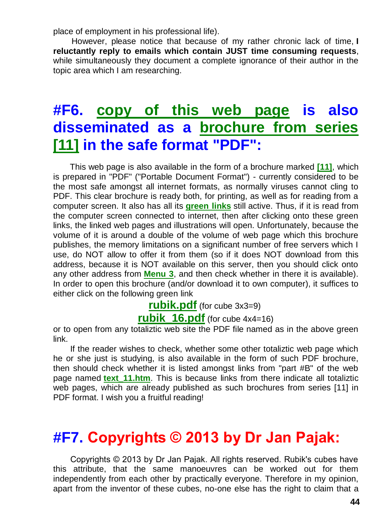place of employment in his professional life).

However, please notice that because of my rather chronic lack of time, **I reluctantly reply to emails which contain JUST time consuming requests**, while simultaneously they document a complete ignorance of their author in the topic area which I am researching.

## **#F6. [copy of this web page](http://totalizm.com.pl/rubik.pdf) is also disseminated as a [brochure from series](http://totalizm.com.pl/text_11.htm)  [\[11\]](http://totalizm.com.pl/text_11.htm) in the safe format "PDF":**

This web page is also available in the form of a brochure marked **[\[11\]](http://totalizm.com.pl/text_11.htm)**, which is prepared in "PDF" ("Portable Document Format") - currently considered to be the most safe amongst all internet formats, as normally viruses cannot cling to PDF. This clear brochure is ready both, for printing, as well as for reading from a computer screen. It also has all its **[green links](http://totalizm.com.pl/military_magnocraft.htm)** still active. Thus, if it is read from the computer screen connected to internet, then after clicking onto these green links, the linked web pages and illustrations will open. Unfortunately, because the volume of it is around a double of the volume of web page which this brochure publishes, the memory limitations on a significant number of free servers which I use, do NOT allow to offer it from them (so if it does NOT download from this address, because it is NOT available on this server, then you should click onto any other address from **[Menu 3](http://totalizm.com.pl/menu.htm)**, and then check whether in there it is available). In order to open this brochure (and/or download it to own computer), it suffices to either click on the following green link

**[rubik.pdf](http://totalizm.com.pl/rubik.pdf)** (for cube 3x3=9)

**rubik 16.pdf** (for cube 4x4=16)

or to open from any totaliztic web site the PDF file named as in the above green link.

If the reader wishes to check, whether some other totaliztic web page which he or she just is studying, is also available in the form of such PDF brochure, then should check whether it is listed amongst links from "part #B" of the web page named **[text\\_11.htm](http://totalizm.com.pl/text_11.htm)**. This is because links from there indicate all totaliztic web pages, which are already published as such brochures from series [11] in PDF format. I wish you a fruitful reading!

## **#F7. Copyrights © 2013 by Dr Jan Pajak:**

Copyrights © 2013 by Dr Jan Pajak. All rights reserved. Rubik's cubes have this attribute, that the same manoeuvres can be worked out for them independently from each other by practically everyone. Therefore in my opinion, apart from the inventor of these cubes, no-one else has the right to claim that a